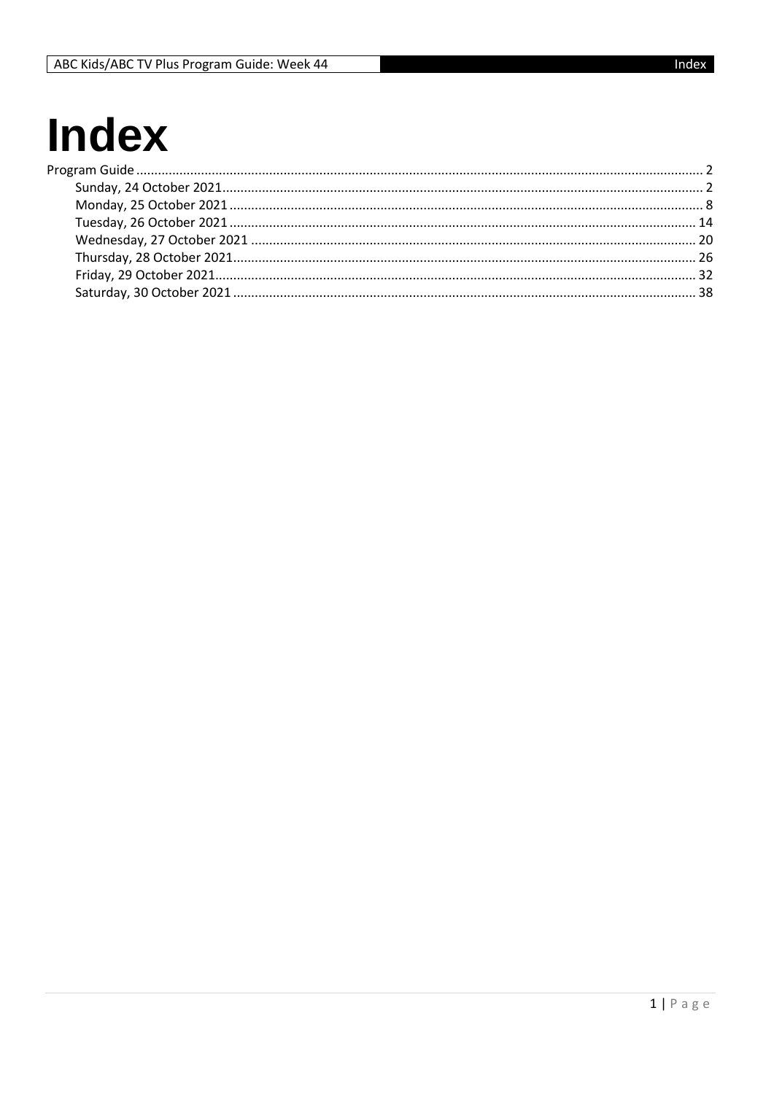# **Index**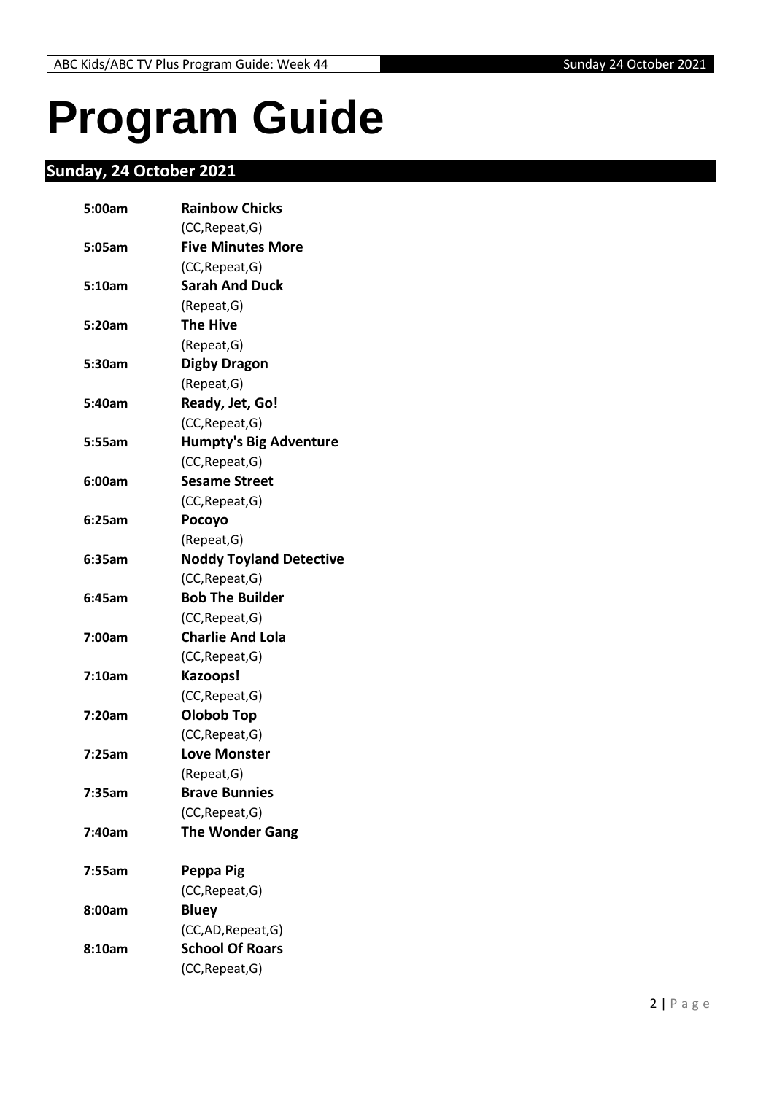## <span id="page-1-0"></span>**Program Guide**

## <span id="page-1-1"></span>**Sunday, 24 October 2021**

| 5:00am | <b>Rainbow Chicks</b>          |
|--------|--------------------------------|
|        | (CC, Repeat, G)                |
| 5:05am | <b>Five Minutes More</b>       |
|        | (CC, Repeat, G)                |
| 5:10am | <b>Sarah And Duck</b>          |
|        | (Repeat, G)                    |
| 5:20am | <b>The Hive</b>                |
|        | (Repeat, G)                    |
| 5:30am | <b>Digby Dragon</b>            |
|        | (Repeat, G)                    |
| 5:40am | Ready, Jet, Go!                |
|        | (CC, Repeat, G)                |
| 5:55am | <b>Humpty's Big Adventure</b>  |
|        | (CC, Repeat, G)                |
| 6:00am | <b>Sesame Street</b>           |
|        | (CC, Repeat, G)                |
| 6:25am | Pocoyo                         |
|        | (Repeat, G)                    |
| 6:35am | <b>Noddy Toyland Detective</b> |
|        | (CC, Repeat, G)                |
| 6:45am | <b>Bob The Builder</b>         |
|        | (CC, Repeat, G)                |
| 7:00am | <b>Charlie And Lola</b>        |
|        | (CC, Repeat, G)                |
| 7:10am | Kazoops!                       |
|        | (CC, Repeat, G)                |
| 7:20am | <b>Olobob Top</b>              |
|        | (CC, Repeat, G)                |
| 7:25am | <b>Love Monster</b>            |
|        | (Repeat, G)                    |
| 7:35am | <b>Brave Bunnies</b>           |
|        | (CC, Repeat, G)                |
| 7:40am | <b>The Wonder Gang</b>         |
| 7:55am | Peppa Pig                      |
|        | (CC, Repeat, G)                |
| 8:00am | <b>Bluey</b>                   |
|        | (CC,AD,Repeat,G)               |
| 8:10am | <b>School Of Roars</b>         |
|        | (CC, Repeat, G)                |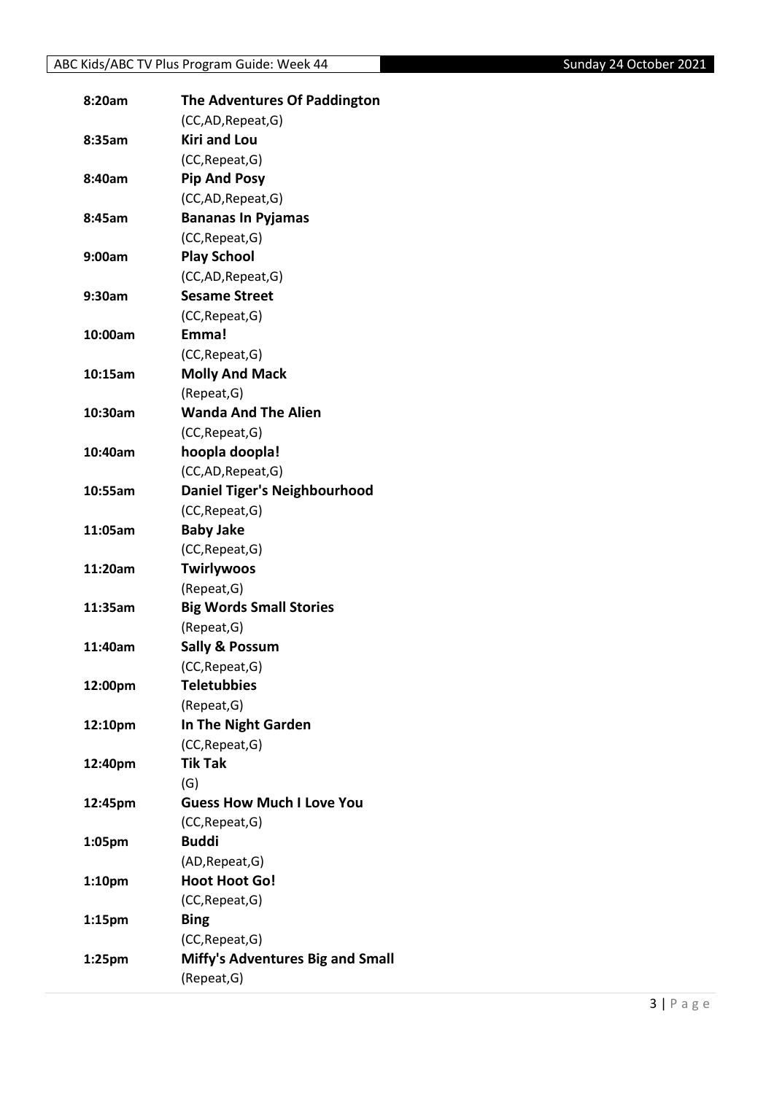| 8:20am             | The Adventures Of Paddington        |
|--------------------|-------------------------------------|
|                    | (CC,AD,Repeat,G)                    |
| 8:35am             | <b>Kiri and Lou</b>                 |
|                    | (CC, Repeat, G)                     |
| 8:40am             | <b>Pip And Posy</b>                 |
|                    | (CC,AD,Repeat,G)                    |
| 8:45am             | <b>Bananas In Pyjamas</b>           |
|                    | (CC, Repeat, G)                     |
| 9:00am             | <b>Play School</b>                  |
|                    | (CC,AD,Repeat,G)                    |
| 9:30am             | <b>Sesame Street</b>                |
|                    | (CC, Repeat, G)                     |
| 10:00am            | Emma!                               |
|                    | (CC, Repeat, G)                     |
| 10:15am            | <b>Molly And Mack</b>               |
|                    | (Repeat, G)                         |
| 10:30am            | <b>Wanda And The Alien</b>          |
|                    | (CC, Repeat, G)                     |
| 10:40am            | hoopla doopla!                      |
|                    | (CC,AD,Repeat,G)                    |
| 10:55am            | <b>Daniel Tiger's Neighbourhood</b> |
|                    | (CC, Repeat, G)                     |
| 11:05am            | <b>Baby Jake</b>                    |
|                    | (CC, Repeat, G)                     |
| 11:20am            | <b>Twirlywoos</b>                   |
|                    | (Repeat, G)                         |
| 11:35am            | <b>Big Words Small Stories</b>      |
|                    | (Repeat, G)                         |
| 11:40am            | <b>Sally &amp; Possum</b>           |
|                    | (CC, Repeat, G)                     |
| 12:00pm            | <b>Teletubbies</b>                  |
|                    | (Repeat, G)                         |
| 12:10pm            | In The Night Garden                 |
|                    | (CC, Repeat, G)                     |
| 12:40pm            | <b>Tik Tak</b>                      |
|                    | (G)                                 |
| 12:45pm            | <b>Guess How Much I Love You</b>    |
|                    | (CC, Repeat, G)                     |
| 1:05pm             | <b>Buddi</b>                        |
|                    | (AD, Repeat, G)                     |
| 1:10pm             | <b>Hoot Hoot Go!</b>                |
|                    | (CC, Repeat, G)                     |
| 1:15 <sub>pm</sub> | <b>Bing</b>                         |
|                    | (CC, Repeat, G)                     |
| 1:25pm             | Miffy's Adventures Big and Small    |
|                    | (Repeat, G)                         |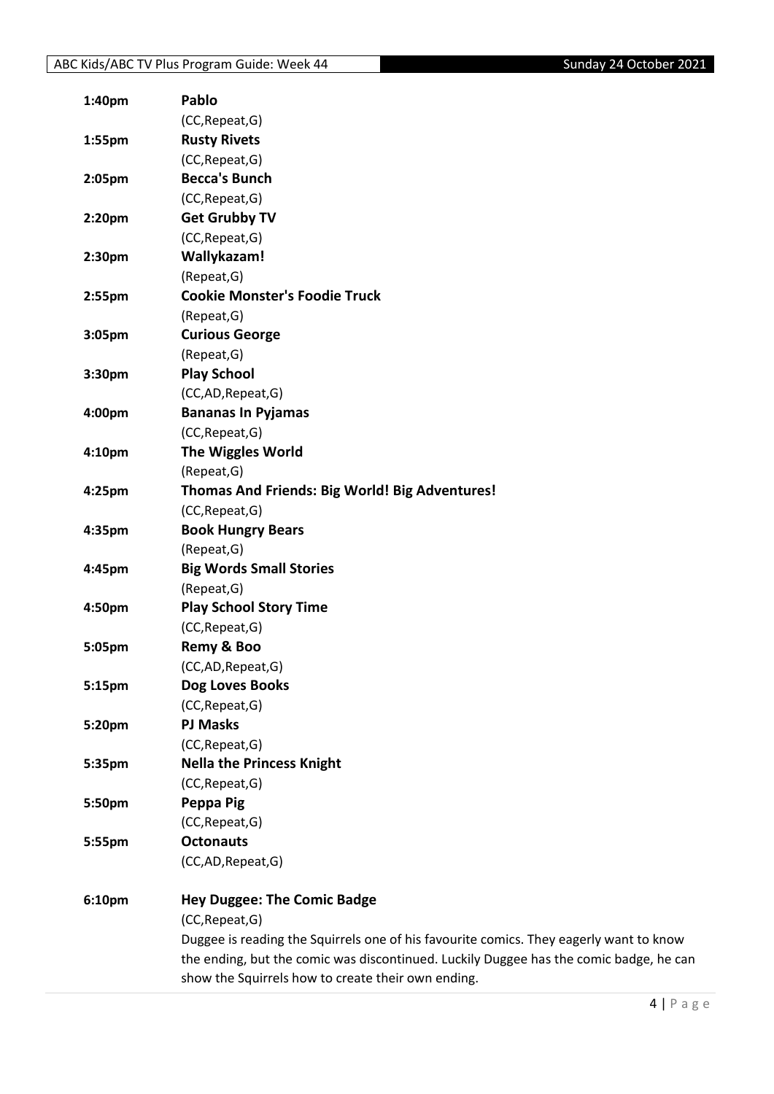| 1:40pm | <b>Pablo</b>                                                                           |
|--------|----------------------------------------------------------------------------------------|
|        | (CC, Repeat, G)                                                                        |
| 1:55pm | <b>Rusty Rivets</b>                                                                    |
|        | (CC, Repeat, G)                                                                        |
| 2:05pm | <b>Becca's Bunch</b>                                                                   |
|        | (CC, Repeat, G)                                                                        |
| 2:20pm | <b>Get Grubby TV</b>                                                                   |
|        | (CC, Repeat, G)                                                                        |
| 2:30pm | Wallykazam!                                                                            |
|        | (Repeat, G)                                                                            |
| 2:55pm | <b>Cookie Monster's Foodie Truck</b>                                                   |
|        | (Repeat, G)                                                                            |
| 3:05pm | <b>Curious George</b>                                                                  |
|        | (Repeat, G)                                                                            |
| 3:30pm | <b>Play School</b>                                                                     |
|        | (CC,AD,Repeat,G)                                                                       |
| 4:00pm | <b>Bananas In Pyjamas</b>                                                              |
|        | (CC, Repeat, G)                                                                        |
| 4:10pm | <b>The Wiggles World</b>                                                               |
|        | (Repeat, G)                                                                            |
| 4:25pm | Thomas And Friends: Big World! Big Adventures!                                         |
|        | (CC, Repeat, G)                                                                        |
| 4:35pm | <b>Book Hungry Bears</b>                                                               |
|        | (Repeat, G)                                                                            |
| 4:45pm | <b>Big Words Small Stories</b>                                                         |
|        | (Repeat, G)                                                                            |
| 4:50pm | <b>Play School Story Time</b>                                                          |
|        | (CC, Repeat, G)                                                                        |
| 5:05pm | Remy & Boo                                                                             |
|        | (CC,AD,Repeat,G)                                                                       |
| 5:15pm | Dog Loves Books                                                                        |
|        | (CC, Repeat, G)                                                                        |
| 5:20pm | <b>PJ Masks</b>                                                                        |
|        | (CC, Repeat, G)                                                                        |
| 5:35pm | <b>Nella the Princess Knight</b>                                                       |
|        | (CC, Repeat, G)                                                                        |
| 5:50pm | Peppa Pig                                                                              |
|        | (CC, Repeat, G)                                                                        |
| 5:55pm | <b>Octonauts</b>                                                                       |
|        | (CC,AD,Repeat,G)                                                                       |
| 6:10pm | <b>Hey Duggee: The Comic Badge</b>                                                     |
|        | (CC, Repeat, G)                                                                        |
|        | Duggee is reading the Squirrels one of his favourite comics. They eagerly want to know |
|        | the ending, but the comic was discontinued. Luckily Duggee has the comic badge, he can |
|        | show the Squirrels how to create their own ending.                                     |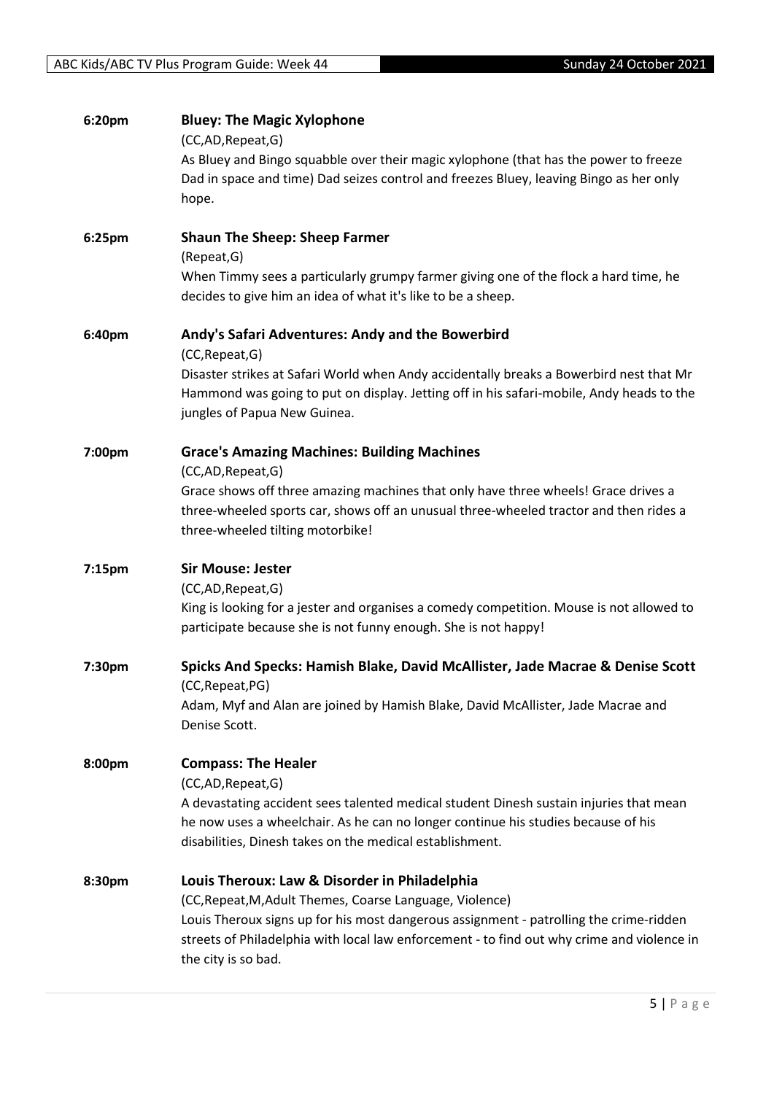| 6:20pm | <b>Bluey: The Magic Xylophone</b><br>(CC,AD, Repeat, G)                                                                                                                                                     |
|--------|-------------------------------------------------------------------------------------------------------------------------------------------------------------------------------------------------------------|
|        | As Bluey and Bingo squabble over their magic xylophone (that has the power to freeze                                                                                                                        |
|        | Dad in space and time) Dad seizes control and freezes Bluey, leaving Bingo as her only                                                                                                                      |
|        | hope.                                                                                                                                                                                                       |
| 6:25pm | <b>Shaun The Sheep: Sheep Farmer</b>                                                                                                                                                                        |
|        | (Repeat, G)                                                                                                                                                                                                 |
|        | When Timmy sees a particularly grumpy farmer giving one of the flock a hard time, he<br>decides to give him an idea of what it's like to be a sheep.                                                        |
| 6:40pm | Andy's Safari Adventures: Andy and the Bowerbird<br>(CC, Repeat, G)                                                                                                                                         |
|        | Disaster strikes at Safari World when Andy accidentally breaks a Bowerbird nest that Mr                                                                                                                     |
|        | Hammond was going to put on display. Jetting off in his safari-mobile, Andy heads to the                                                                                                                    |
|        | jungles of Papua New Guinea.                                                                                                                                                                                |
| 7:00pm | <b>Grace's Amazing Machines: Building Machines</b>                                                                                                                                                          |
|        | (CC,AD,Repeat,G)                                                                                                                                                                                            |
|        | Grace shows off three amazing machines that only have three wheels! Grace drives a                                                                                                                          |
|        | three-wheeled sports car, shows off an unusual three-wheeled tractor and then rides a<br>three-wheeled tilting motorbike!                                                                                   |
| 7:15pm | <b>Sir Mouse: Jester</b>                                                                                                                                                                                    |
|        | (CC,AD, Repeat, G)                                                                                                                                                                                          |
|        | King is looking for a jester and organises a comedy competition. Mouse is not allowed to                                                                                                                    |
|        | participate because she is not funny enough. She is not happy!                                                                                                                                              |
| 7:30pm | Spicks And Specks: Hamish Blake, David McAllister, Jade Macrae & Denise Scott<br>(CC, Repeat, PG)                                                                                                           |
|        | Adam, Myf and Alan are joined by Hamish Blake, David McAllister, Jade Macrae and                                                                                                                            |
|        | Denise Scott.                                                                                                                                                                                               |
| 8:00pm | <b>Compass: The Healer</b>                                                                                                                                                                                  |
|        | (CC,AD,Repeat,G)                                                                                                                                                                                            |
|        | A devastating accident sees talented medical student Dinesh sustain injuries that mean                                                                                                                      |
|        | he now uses a wheelchair. As he can no longer continue his studies because of his                                                                                                                           |
|        | disabilities, Dinesh takes on the medical establishment.                                                                                                                                                    |
| 8:30pm | Louis Theroux: Law & Disorder in Philadelphia                                                                                                                                                               |
|        | (CC, Repeat, M, Adult Themes, Coarse Language, Violence)                                                                                                                                                    |
|        | Louis Theroux signs up for his most dangerous assignment - patrolling the crime-ridden<br>streets of Philadelphia with local law enforcement - to find out why crime and violence in<br>the city is so bad. |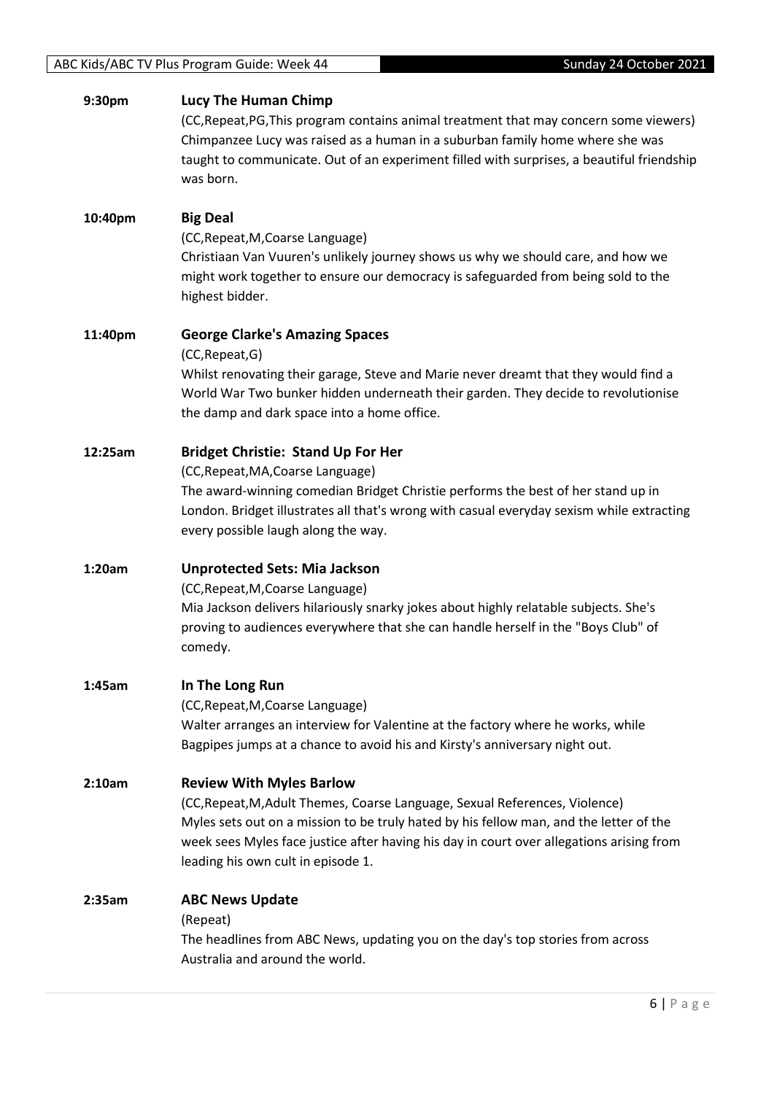| 9:30pm  | Lucy The Human Chimp<br>(CC, Repeat, PG, This program contains animal treatment that may concern some viewers)<br>Chimpanzee Lucy was raised as a human in a suburban family home where she was<br>taught to communicate. Out of an experiment filled with surprises, a beautiful friendship<br>was born.                                  |
|---------|--------------------------------------------------------------------------------------------------------------------------------------------------------------------------------------------------------------------------------------------------------------------------------------------------------------------------------------------|
| 10:40pm | <b>Big Deal</b><br>(CC, Repeat, M, Coarse Language)<br>Christiaan Van Vuuren's unlikely journey shows us why we should care, and how we<br>might work together to ensure our democracy is safeguarded from being sold to the<br>highest bidder.                                                                                            |
| 11:40pm | <b>George Clarke's Amazing Spaces</b><br>(CC, Repeat, G)<br>Whilst renovating their garage, Steve and Marie never dreamt that they would find a<br>World War Two bunker hidden underneath their garden. They decide to revolutionise<br>the damp and dark space into a home office.                                                        |
| 12:25am | <b>Bridget Christie: Stand Up For Her</b><br>(CC, Repeat, MA, Coarse Language)<br>The award-winning comedian Bridget Christie performs the best of her stand up in<br>London. Bridget illustrates all that's wrong with casual everyday sexism while extracting<br>every possible laugh along the way.                                     |
| 1:20am  | <b>Unprotected Sets: Mia Jackson</b><br>(CC, Repeat, M, Coarse Language)<br>Mia Jackson delivers hilariously snarky jokes about highly relatable subjects. She's<br>proving to audiences everywhere that she can handle herself in the "Boys Club" of<br>comedy.                                                                           |
| 1:45am  | In The Long Run<br>(CC, Repeat, M, Coarse Language)<br>Walter arranges an interview for Valentine at the factory where he works, while<br>Bagpipes jumps at a chance to avoid his and Kirsty's anniversary night out.                                                                                                                      |
| 2:10am  | <b>Review With Myles Barlow</b><br>(CC, Repeat, M, Adult Themes, Coarse Language, Sexual References, Violence)<br>Myles sets out on a mission to be truly hated by his fellow man, and the letter of the<br>week sees Myles face justice after having his day in court over allegations arising from<br>leading his own cult in episode 1. |
| 2:35am  | <b>ABC News Update</b><br>(Repeat)<br>The headlines from ABC News, updating you on the day's top stories from across<br>Australia and around the world.                                                                                                                                                                                    |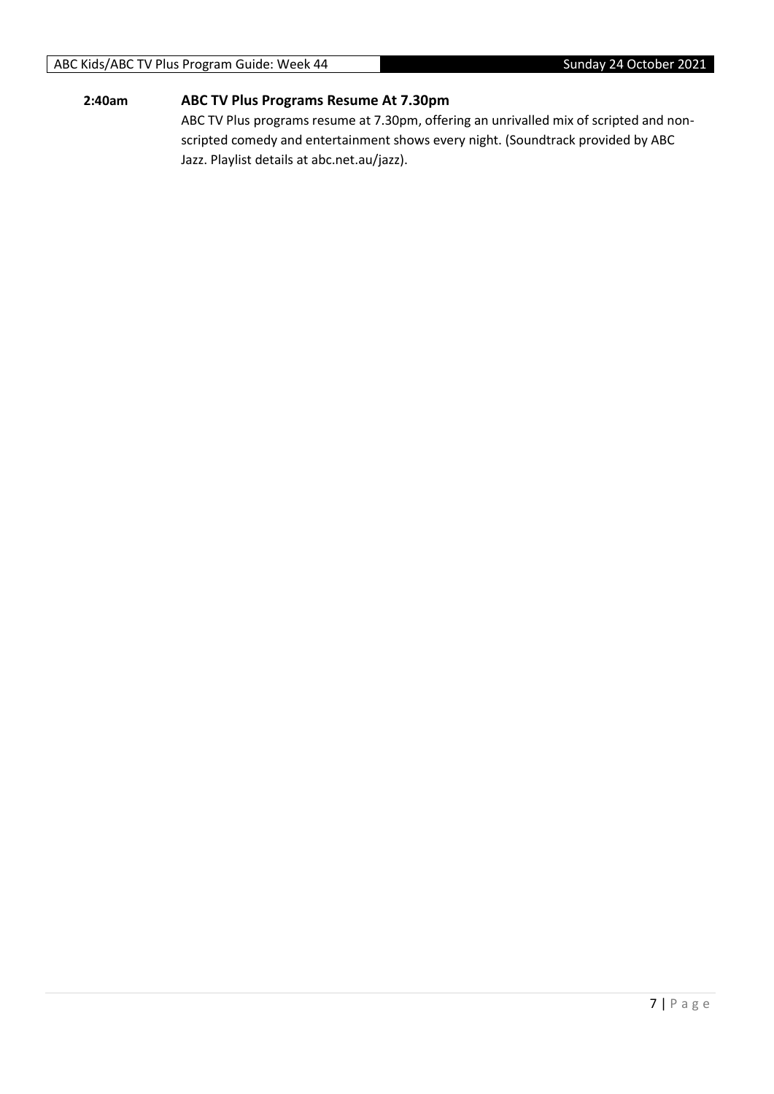#### **2:40am ABC TV Plus Programs Resume At 7.30pm**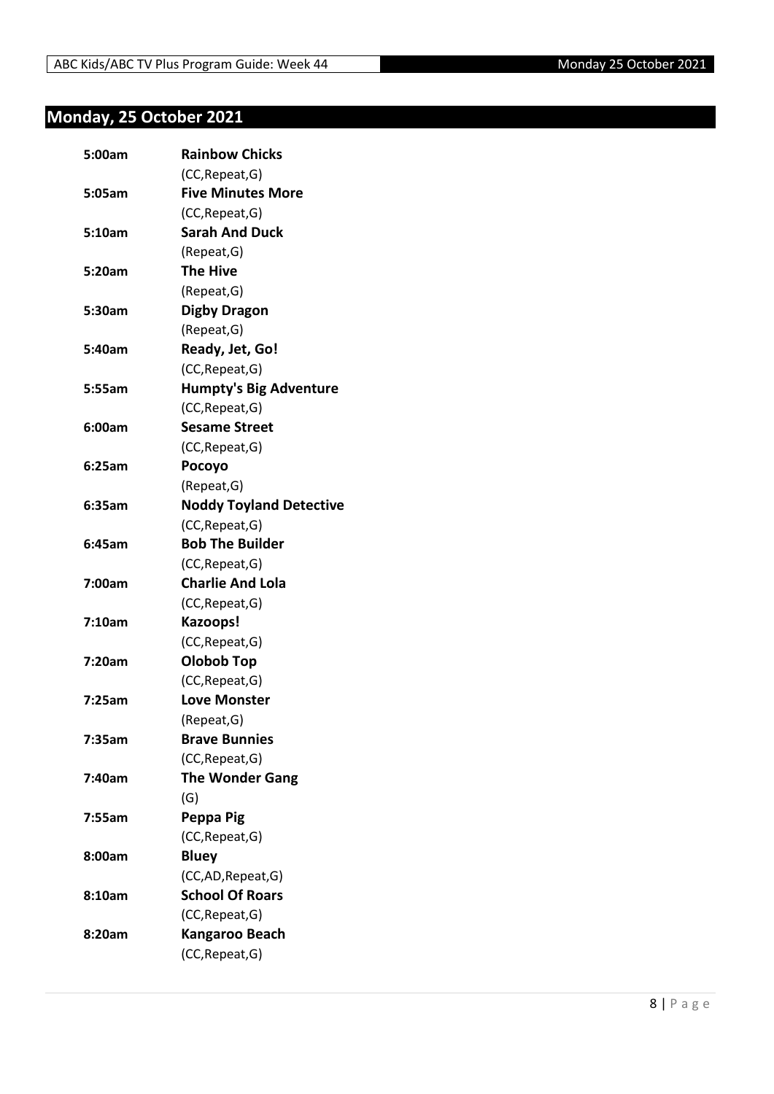## <span id="page-7-0"></span>**Monday, 25 October 2021**

| 5:00am | <b>Rainbow Chicks</b>          |
|--------|--------------------------------|
|        | (CC, Repeat, G)                |
| 5:05am | <b>Five Minutes More</b>       |
|        | (CC, Repeat, G)                |
| 5:10am | <b>Sarah And Duck</b>          |
|        | (Repeat, G)                    |
| 5:20am | <b>The Hive</b>                |
|        | (Repeat, G)                    |
| 5:30am | <b>Digby Dragon</b>            |
|        | (Repeat, G)                    |
| 5:40am | Ready, Jet, Go!                |
|        | (CC, Repeat, G)                |
| 5:55am | <b>Humpty's Big Adventure</b>  |
|        | (CC, Repeat, G)                |
| 6:00am | <b>Sesame Street</b>           |
|        | (CC, Repeat, G)                |
| 6:25am | Pocoyo                         |
|        | (Repeat, G)                    |
| 6:35am | <b>Noddy Toyland Detective</b> |
|        | (CC, Repeat, G)                |
| 6:45am | <b>Bob The Builder</b>         |
|        | (CC, Repeat, G)                |
| 7:00am | <b>Charlie And Lola</b>        |
|        | (CC, Repeat, G)                |
| 7:10am | Kazoops!                       |
|        | (CC, Repeat, G)                |
| 7:20am | Olobob Top                     |
|        | (CC, Repeat, G)                |
| 7:25am | <b>Love Monster</b>            |
|        | (Repeat, G)                    |
| 7:35am | <b>Brave Bunnies</b>           |
|        | (CC, Repeat, G)                |
| 7:40am | <b>The Wonder Gang</b>         |
|        | (G)                            |
| 7:55am | Peppa Pig                      |
|        | (CC, Repeat, G)                |
| 8:00am | <b>Bluey</b>                   |
|        | (CC,AD, Repeat, G)             |
| 8:10am | <b>School Of Roars</b>         |
|        | (CC, Repeat, G)                |
| 8:20am | Kangaroo Beach                 |
|        | (CC, Repeat, G)                |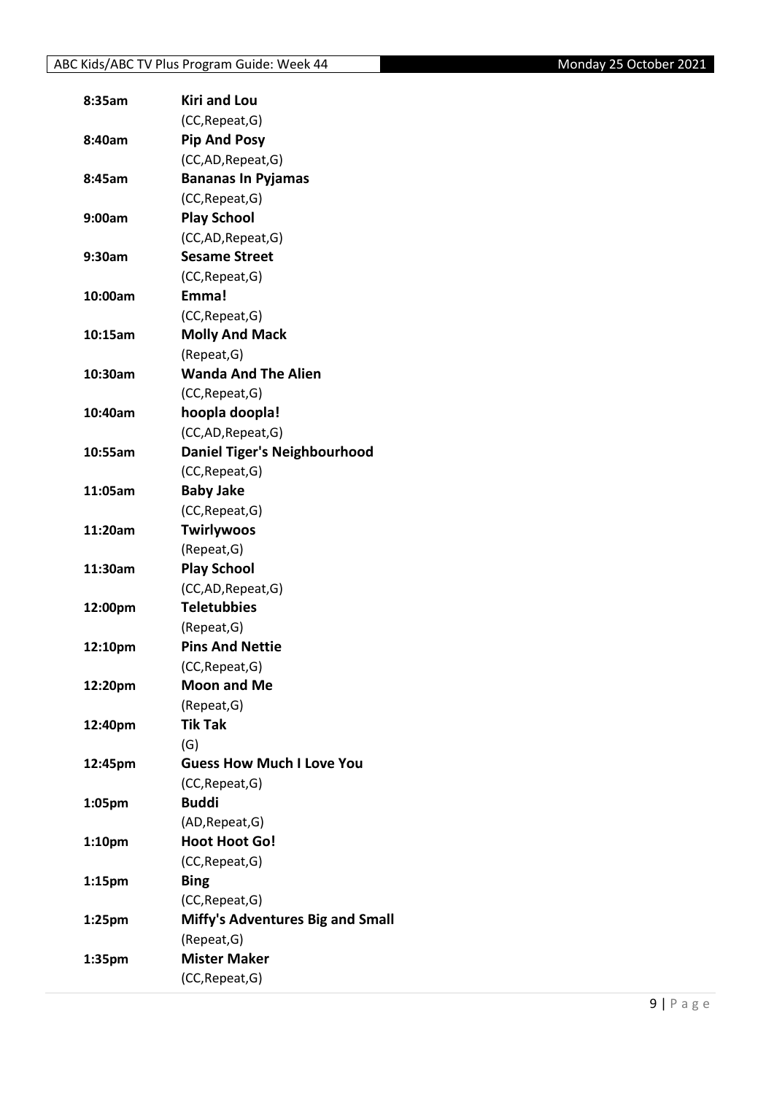| 8:35am             | <b>Kiri and Lou</b>                     |
|--------------------|-----------------------------------------|
|                    | (CC, Repeat, G)                         |
| 8:40am             | <b>Pip And Posy</b>                     |
|                    | (CC,AD, Repeat, G)                      |
| 8:45am             | <b>Bananas In Pyjamas</b>               |
|                    | (CC, Repeat, G)                         |
| 9:00am             | <b>Play School</b>                      |
|                    | (CC,AD, Repeat, G)                      |
| 9:30am             | <b>Sesame Street</b>                    |
|                    | (CC, Repeat, G)                         |
| 10:00am            | Emma!                                   |
|                    | (CC, Repeat, G)                         |
| 10:15am            | <b>Molly And Mack</b>                   |
|                    | (Repeat, G)                             |
| 10:30am            | <b>Wanda And The Alien</b>              |
|                    | (CC, Repeat, G)                         |
| 10:40am            | hoopla doopla!                          |
|                    | (CC,AD, Repeat, G)                      |
| 10:55am            | <b>Daniel Tiger's Neighbourhood</b>     |
|                    | (CC, Repeat, G)                         |
| 11:05am            | <b>Baby Jake</b>                        |
|                    | (CC, Repeat, G)                         |
| 11:20am            | <b>Twirlywoos</b>                       |
|                    | (Repeat, G)                             |
| 11:30am            | <b>Play School</b>                      |
|                    | (CC,AD, Repeat, G)                      |
| 12:00pm            | <b>Teletubbies</b>                      |
|                    | (Repeat, G)                             |
| 12:10pm            | <b>Pins And Nettie</b>                  |
|                    | (CC, Repeat, G)                         |
| 12:20pm            | <b>Moon and Me</b>                      |
|                    | (Repeat, G)                             |
| 12:40pm            | <b>Tik Tak</b>                          |
|                    | (G)                                     |
| 12:45pm            | <b>Guess How Much I Love You</b>        |
|                    | (CC, Repeat, G)                         |
| 1:05pm             | <b>Buddi</b>                            |
|                    | (AD, Repeat, G)                         |
| 1:10 <sub>pm</sub> | <b>Hoot Hoot Go!</b>                    |
|                    | (CC, Repeat, G)                         |
| 1:15 <sub>pm</sub> | <b>Bing</b>                             |
|                    | (CC, Repeat, G)                         |
| 1:25pm             | <b>Miffy's Adventures Big and Small</b> |
|                    | (Repeat, G)                             |
| 1:35pm             | <b>Mister Maker</b>                     |
|                    | (CC, Repeat, G)                         |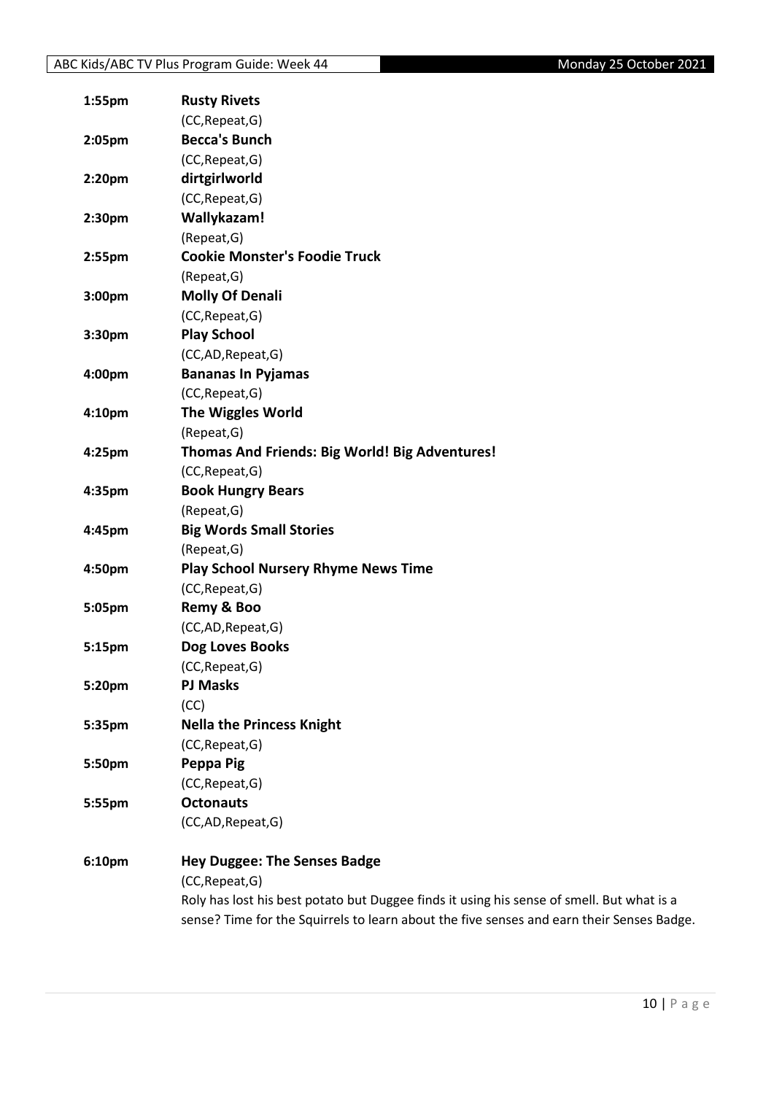| 1:55pm             | <b>Rusty Rivets</b>                                                                       |
|--------------------|-------------------------------------------------------------------------------------------|
|                    | (CC, Repeat, G)                                                                           |
| 2:05pm             | <b>Becca's Bunch</b>                                                                      |
|                    | (CC, Repeat, G)                                                                           |
| 2:20 <sub>pm</sub> | dirtgirlworld                                                                             |
|                    | (CC, Repeat, G)                                                                           |
| 2:30pm             | Wallykazam!                                                                               |
|                    | (Repeat, G)                                                                               |
| 2:55pm             | <b>Cookie Monster's Foodie Truck</b>                                                      |
|                    | (Repeat, G)                                                                               |
| 3:00pm             | <b>Molly Of Denali</b>                                                                    |
|                    | (CC, Repeat, G)                                                                           |
| 3:30pm             | <b>Play School</b>                                                                        |
|                    | (CC,AD,Repeat,G)                                                                          |
| 4:00pm             | <b>Bananas In Pyjamas</b>                                                                 |
|                    | (CC, Repeat, G)                                                                           |
| 4:10pm             | The Wiggles World                                                                         |
|                    | (Repeat, G)                                                                               |
| 4:25pm             | Thomas And Friends: Big World! Big Adventures!                                            |
|                    | (CC, Repeat, G)                                                                           |
| 4:35pm             | <b>Book Hungry Bears</b>                                                                  |
|                    | (Repeat, G)                                                                               |
| 4:45pm             | <b>Big Words Small Stories</b>                                                            |
|                    | (Repeat, G)                                                                               |
| 4:50pm             | <b>Play School Nursery Rhyme News Time</b>                                                |
|                    | (CC, Repeat, G)                                                                           |
| 5:05pm             | Remy & Boo                                                                                |
|                    | (CC,AD,Repeat,G)                                                                          |
| 5:15pm             | Dog Loves Books                                                                           |
|                    | (CC, Repeat, G)                                                                           |
| 5:20pm             | <b>PJ Masks</b>                                                                           |
|                    | (CC)                                                                                      |
| 5:35pm             | <b>Nella the Princess Knight</b>                                                          |
|                    | (CC, Repeat, G)                                                                           |
| 5:50pm             | Peppa Pig                                                                                 |
|                    | (CC, Repeat, G)                                                                           |
| 5:55pm             | <b>Octonauts</b>                                                                          |
|                    | (CC,AD,Repeat,G)                                                                          |
| 6:10pm             | <b>Hey Duggee: The Senses Badge</b>                                                       |
|                    | (CC, Repeat, G)                                                                           |
|                    | Roly has lost his best potato but Duggee finds it using his sense of smell. But what is a |
|                    | sense? Time for the Squirrels to learn about the five senses and earn their Senses Badge. |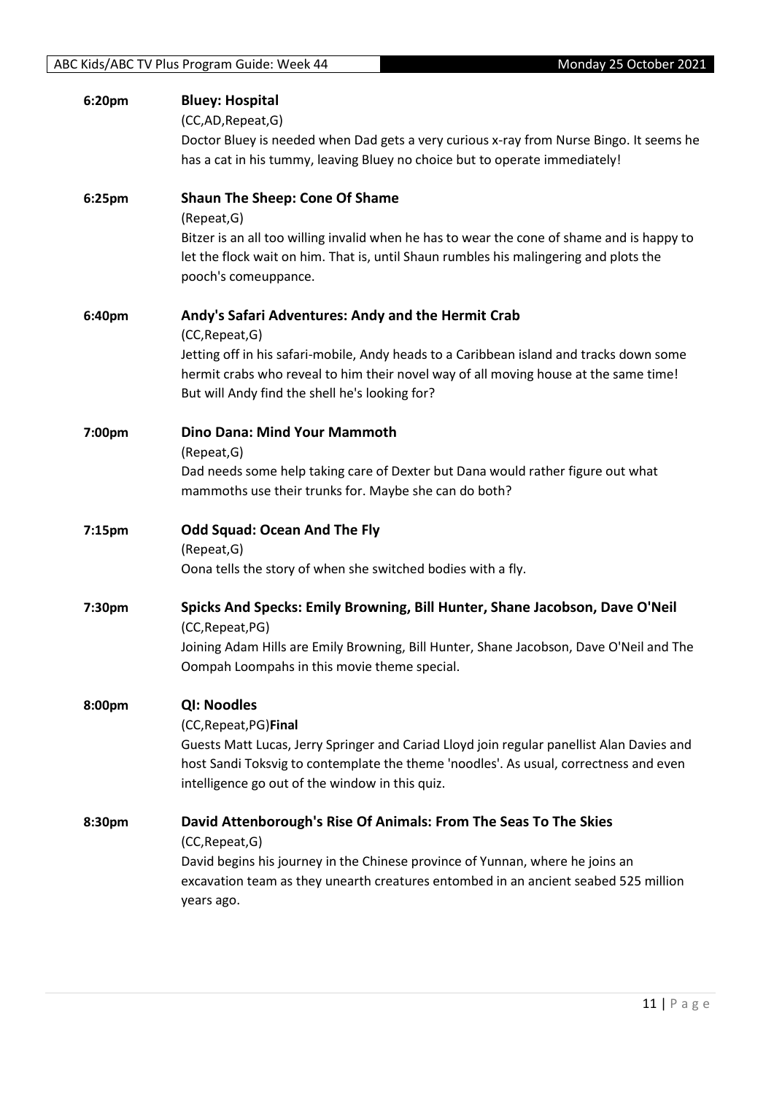| 6:20pm | <b>Bluey: Hospital</b><br>(CC,AD, Repeat, G)<br>Doctor Bluey is needed when Dad gets a very curious x-ray from Nurse Bingo. It seems he<br>has a cat in his tummy, leaving Bluey no choice but to operate immediately!                                                                                     |
|--------|------------------------------------------------------------------------------------------------------------------------------------------------------------------------------------------------------------------------------------------------------------------------------------------------------------|
| 6:25pm | <b>Shaun The Sheep: Cone Of Shame</b><br>(Repeat, G)<br>Bitzer is an all too willing invalid when he has to wear the cone of shame and is happy to<br>let the flock wait on him. That is, until Shaun rumbles his malingering and plots the<br>pooch's comeuppance.                                        |
| 6:40pm | Andy's Safari Adventures: Andy and the Hermit Crab<br>(CC, Repeat, G)<br>Jetting off in his safari-mobile, Andy heads to a Caribbean island and tracks down some<br>hermit crabs who reveal to him their novel way of all moving house at the same time!<br>But will Andy find the shell he's looking for? |
| 7:00pm | <b>Dino Dana: Mind Your Mammoth</b><br>(Repeat, G)<br>Dad needs some help taking care of Dexter but Dana would rather figure out what<br>mammoths use their trunks for. Maybe she can do both?                                                                                                             |
| 7:15pm | <b>Odd Squad: Ocean And The Fly</b><br>(Repeat, G)<br>Oona tells the story of when she switched bodies with a fly.                                                                                                                                                                                         |
| 7:30pm | Spicks And Specks: Emily Browning, Bill Hunter, Shane Jacobson, Dave O'Neil<br>(CC, Repeat, PG)<br>Joining Adam Hills are Emily Browning, Bill Hunter, Shane Jacobson, Dave O'Neil and The<br>Oompah Loompahs in this movie theme special.                                                                 |
| 8:00pm | <b>QI: Noodles</b><br>(CC, Repeat, PG) Final<br>Guests Matt Lucas, Jerry Springer and Cariad Lloyd join regular panellist Alan Davies and<br>host Sandi Toksvig to contemplate the theme 'noodles'. As usual, correctness and even<br>intelligence go out of the window in this quiz.                      |
| 8:30pm | David Attenborough's Rise Of Animals: From The Seas To The Skies<br>(CC, Repeat, G)<br>David begins his journey in the Chinese province of Yunnan, where he joins an<br>excavation team as they unearth creatures entombed in an ancient seabed 525 million<br>years ago.                                  |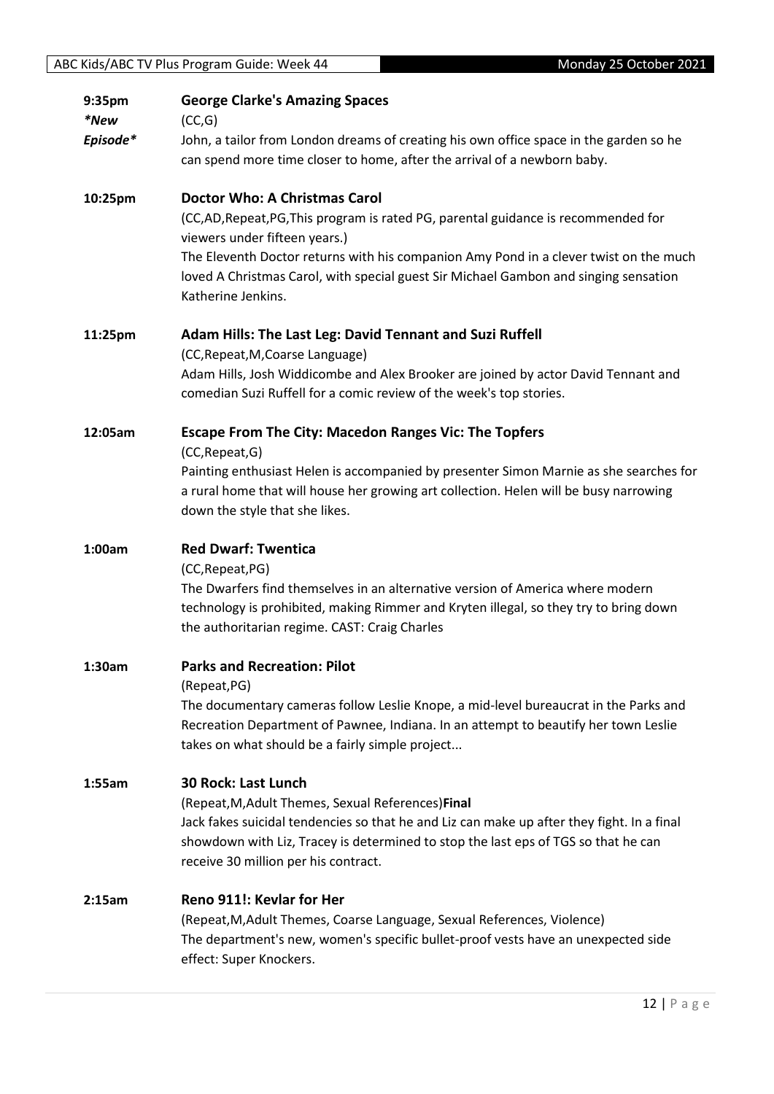| 9:35pm<br>*New | <b>George Clarke's Amazing Spaces</b><br>(CC,G)                                                                                                                                                                                              |
|----------------|----------------------------------------------------------------------------------------------------------------------------------------------------------------------------------------------------------------------------------------------|
| Episode*       | John, a tailor from London dreams of creating his own office space in the garden so he<br>can spend more time closer to home, after the arrival of a newborn baby.                                                                           |
| 10:25pm        | <b>Doctor Who: A Christmas Carol</b><br>(CC,AD,Repeat,PG,This program is rated PG, parental guidance is recommended for<br>viewers under fifteen years.)                                                                                     |
|                | The Eleventh Doctor returns with his companion Amy Pond in a clever twist on the much<br>loved A Christmas Carol, with special guest Sir Michael Gambon and singing sensation<br>Katherine Jenkins.                                          |
| 11:25pm        | Adam Hills: The Last Leg: David Tennant and Suzi Ruffell<br>(CC, Repeat, M, Coarse Language)                                                                                                                                                 |
|                | Adam Hills, Josh Widdicombe and Alex Brooker are joined by actor David Tennant and<br>comedian Suzi Ruffell for a comic review of the week's top stories.                                                                                    |
| 12:05am        | <b>Escape From The City: Macedon Ranges Vic: The Topfers</b><br>(CC, Repeat, G)                                                                                                                                                              |
|                | Painting enthusiast Helen is accompanied by presenter Simon Marnie as she searches for<br>a rural home that will house her growing art collection. Helen will be busy narrowing<br>down the style that she likes.                            |
| 1:00am         | <b>Red Dwarf: Twentica</b>                                                                                                                                                                                                                   |
|                | (CC, Repeat, PG)<br>The Dwarfers find themselves in an alternative version of America where modern<br>technology is prohibited, making Rimmer and Kryten illegal, so they try to bring down<br>the authoritarian regime. CAST: Craig Charles |
| 1:30am         | <b>Parks and Recreation: Pilot</b><br>(Repeat, PG)                                                                                                                                                                                           |
|                | The documentary cameras follow Leslie Knope, a mid-level bureaucrat in the Parks and<br>Recreation Department of Pawnee, Indiana. In an attempt to beautify her town Leslie<br>takes on what should be a fairly simple project               |
| 1:55am         | <b>30 Rock: Last Lunch</b><br>(Repeat, M, Adult Themes, Sexual References) Final                                                                                                                                                             |
|                | Jack fakes suicidal tendencies so that he and Liz can make up after they fight. In a final<br>showdown with Liz, Tracey is determined to stop the last eps of TGS so that he can<br>receive 30 million per his contract.                     |
| 2:15am         | Reno 911!: Kevlar for Her                                                                                                                                                                                                                    |
|                | (Repeat, M, Adult Themes, Coarse Language, Sexual References, Violence)<br>The department's new, women's specific bullet-proof vests have an unexpected side<br>effect: Super Knockers.                                                      |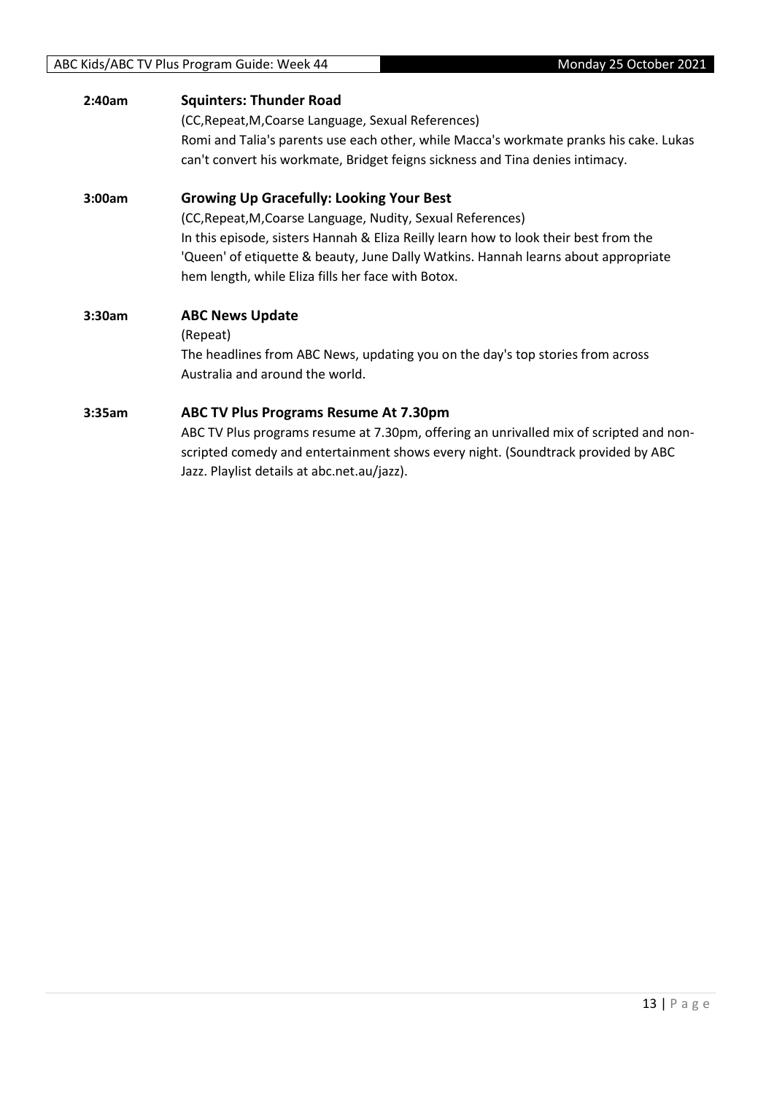#### ABC Kids/ABC TV Plus Program Guide: Week 44 Monday 25 October 2021

| 2:40am | <b>Squinters: Thunder Road</b><br>(CC, Repeat, M, Coarse Language, Sexual References)<br>Romi and Talia's parents use each other, while Macca's workmate pranks his cake. Lukas<br>can't convert his workmate, Bridget feigns sickness and Tina denies intimacy.                                                                                   |
|--------|----------------------------------------------------------------------------------------------------------------------------------------------------------------------------------------------------------------------------------------------------------------------------------------------------------------------------------------------------|
| 3:00am | <b>Growing Up Gracefully: Looking Your Best</b><br>(CC, Repeat, M, Coarse Language, Nudity, Sexual References)<br>In this episode, sisters Hannah & Eliza Reilly learn how to look their best from the<br>'Queen' of etiquette & beauty, June Dally Watkins. Hannah learns about appropriate<br>hem length, while Eliza fills her face with Botox. |
| 3:30am | <b>ABC News Update</b><br>(Repeat)<br>The headlines from ABC News, updating you on the day's top stories from across<br>Australia and around the world.                                                                                                                                                                                            |
| 3:35am | ABC TV Plus Programs Resume At 7.30pm<br>ABC TV Plus programs resume at 7.30pm, offering an unrivalled mix of scripted and non-<br>scripted comedy and entertainment shows every night. (Soundtrack provided by ABC<br>Jazz. Playlist details at abc.net.au/jazz).                                                                                 |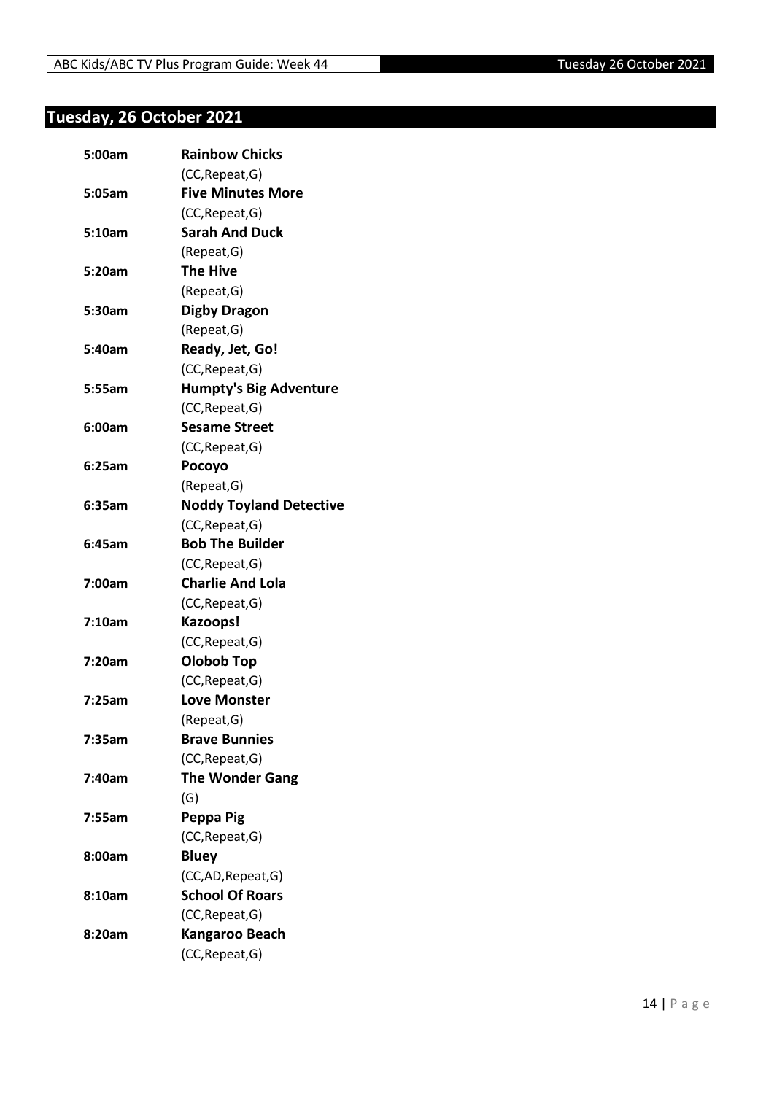## <span id="page-13-0"></span>**Tuesday, 26 October 2021**

| 5:00am | <b>Rainbow Chicks</b>          |
|--------|--------------------------------|
|        | (CC, Repeat, G)                |
| 5:05am | <b>Five Minutes More</b>       |
|        | (CC, Repeat, G)                |
| 5:10am | <b>Sarah And Duck</b>          |
|        | (Repeat, G)                    |
| 5:20am | <b>The Hive</b>                |
|        | (Repeat, G)                    |
| 5:30am | <b>Digby Dragon</b>            |
|        | (Repeat, G)                    |
| 5:40am | Ready, Jet, Go!                |
|        | (CC, Repeat, G)                |
| 5:55am | <b>Humpty's Big Adventure</b>  |
|        | (CC, Repeat, G)                |
| 6:00am | <b>Sesame Street</b>           |
|        | (CC, Repeat, G)                |
| 6:25am | Pocoyo                         |
|        | (Repeat, G)                    |
| 6:35am | <b>Noddy Toyland Detective</b> |
|        | (CC, Repeat, G)                |
| 6:45am | <b>Bob The Builder</b>         |
|        | (CC, Repeat, G)                |
| 7:00am | <b>Charlie And Lola</b>        |
|        | (CC, Repeat, G)                |
| 7:10am | Kazoops!                       |
|        | (CC, Repeat, G)                |
| 7:20am | <b>Olobob Top</b>              |
|        | (CC, Repeat, G)                |
| 7:25am | <b>Love Monster</b>            |
|        | (Repeat, G)                    |
| 7:35am | <b>Brave Bunnies</b>           |
|        | (CC, Repeat, G)                |
| 7:40am | <b>The Wonder Gang</b>         |
|        | (G)                            |
| 7:55am | Peppa Pig                      |
|        | (CC, Repeat, G)                |
| 8:00am | <b>Bluey</b>                   |
|        | (CC,AD, Repeat, G)             |
| 8:10am | <b>School Of Roars</b>         |
|        | (CC, Repeat, G)                |
| 8:20am | Kangaroo Beach                 |
|        | (CC, Repeat, G)                |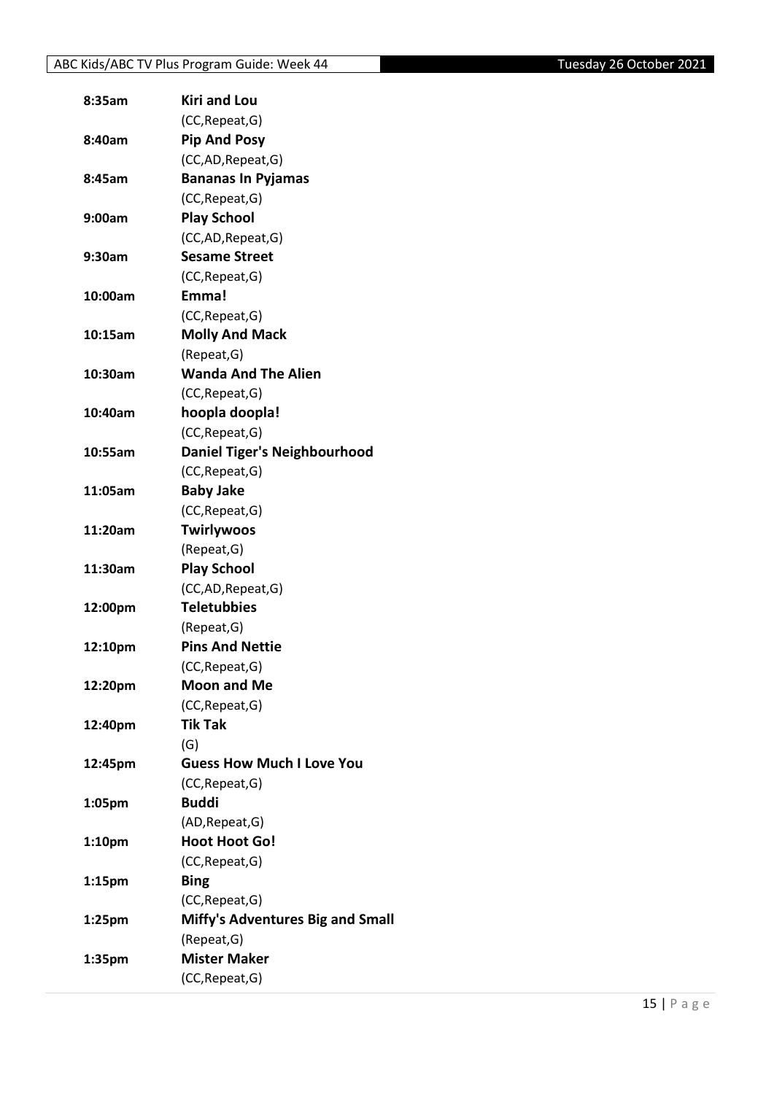| 8:35am             | <b>Kiri and Lou</b>                     |
|--------------------|-----------------------------------------|
|                    | (CC, Repeat, G)                         |
| 8:40am             | <b>Pip And Posy</b>                     |
|                    | (CC,AD,Repeat,G)                        |
| 8:45am             | <b>Bananas In Pyjamas</b>               |
|                    | (CC, Repeat, G)                         |
| 9:00am             | <b>Play School</b>                      |
|                    | (CC,AD, Repeat, G)                      |
| 9:30am             | <b>Sesame Street</b>                    |
|                    | (CC, Repeat, G)                         |
| 10:00am            | Emma!                                   |
|                    | (CC, Repeat, G)                         |
| 10:15am            | <b>Molly And Mack</b>                   |
|                    | (Repeat, G)                             |
| 10:30am            | <b>Wanda And The Alien</b>              |
|                    | (CC, Repeat, G)                         |
| 10:40am            | hoopla doopla!                          |
|                    | (CC, Repeat, G)                         |
| 10:55am            | <b>Daniel Tiger's Neighbourhood</b>     |
|                    | (CC, Repeat, G)                         |
| 11:05am            | <b>Baby Jake</b>                        |
|                    | (CC, Repeat, G)                         |
| 11:20am            | <b>Twirlywoos</b>                       |
|                    | (Repeat, G)                             |
| 11:30am            | <b>Play School</b>                      |
|                    | (CC,AD,Repeat,G)                        |
| 12:00pm            | <b>Teletubbies</b>                      |
|                    | (Repeat, G)                             |
| 12:10pm            | <b>Pins And Nettie</b>                  |
|                    | (CC, Repeat, G)                         |
| 12:20pm            | <b>Moon and Me</b>                      |
|                    | (CC, Repeat, G)                         |
|                    | <b>Tik Tak</b>                          |
| 12:40pm            |                                         |
|                    | (G)<br><b>Guess How Much I Love You</b> |
| 12:45pm            |                                         |
|                    | (CC, Repeat, G)<br><b>Buddi</b>         |
| 1:05pm             |                                         |
|                    | (AD, Repeat, G)                         |
| 1:10pm             | <b>Hoot Hoot Go!</b>                    |
|                    | (CC, Repeat, G)                         |
| 1:15 <sub>pm</sub> | <b>Bing</b>                             |
|                    | (CC, Repeat, G)                         |
| 1:25 <sub>pm</sub> | <b>Miffy's Adventures Big and Small</b> |
|                    | (Repeat, G)                             |
| 1:35pm             | <b>Mister Maker</b>                     |
|                    | (CC, Repeat, G)                         |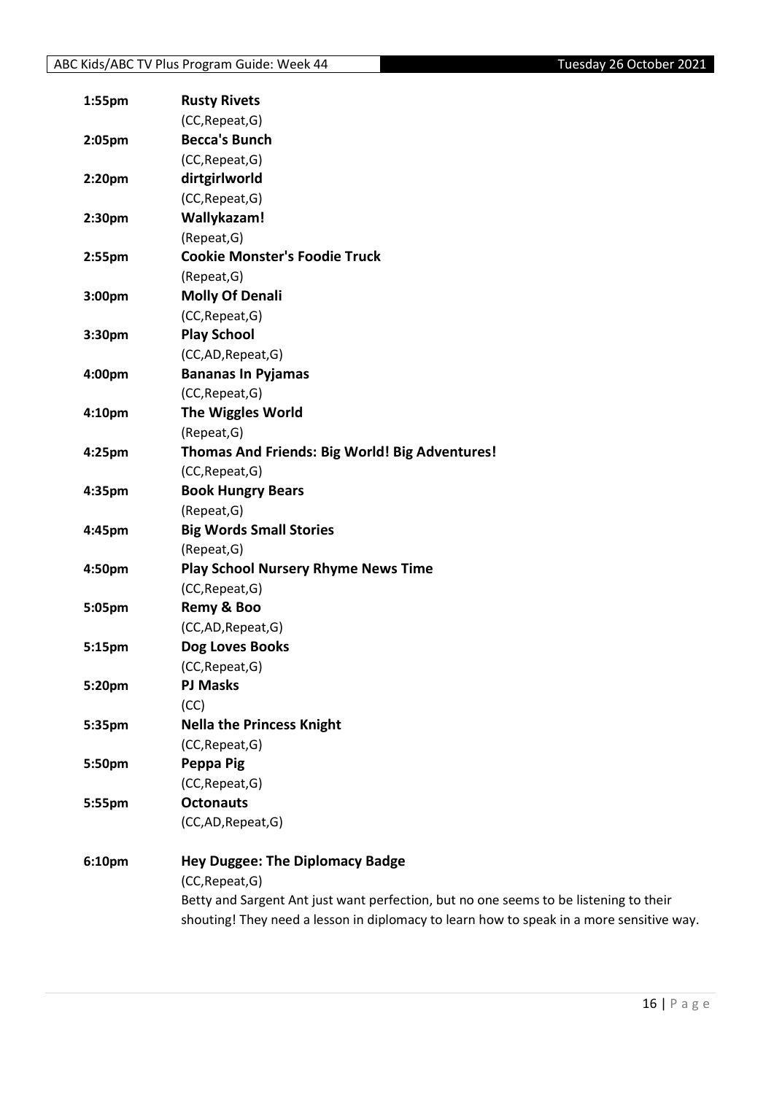| 1:55pm | <b>Rusty Rivets</b>                                                                      |
|--------|------------------------------------------------------------------------------------------|
|        | (CC, Repeat, G)                                                                          |
| 2:05pm | <b>Becca's Bunch</b>                                                                     |
|        | (CC, Repeat, G)                                                                          |
| 2:20pm | dirtgirlworld                                                                            |
|        | (CC, Repeat, G)                                                                          |
| 2:30pm | Wallykazam!                                                                              |
|        | (Repeat, G)                                                                              |
| 2:55pm | <b>Cookie Monster's Foodie Truck</b>                                                     |
|        | (Repeat, G)                                                                              |
| 3:00pm | <b>Molly Of Denali</b>                                                                   |
|        | (CC, Repeat, G)                                                                          |
| 3:30pm | <b>Play School</b>                                                                       |
|        | (CC,AD,Repeat,G)                                                                         |
| 4:00pm | <b>Bananas In Pyjamas</b>                                                                |
|        | (CC, Repeat, G)                                                                          |
| 4:10pm | The Wiggles World                                                                        |
|        | (Repeat, G)                                                                              |
| 4:25pm | Thomas And Friends: Big World! Big Adventures!                                           |
|        | (CC, Repeat, G)                                                                          |
| 4:35pm | <b>Book Hungry Bears</b>                                                                 |
|        | (Repeat, G)                                                                              |
| 4:45pm | <b>Big Words Small Stories</b>                                                           |
|        | (Repeat, G)                                                                              |
| 4:50pm | <b>Play School Nursery Rhyme News Time</b>                                               |
|        | (CC, Repeat, G)                                                                          |
| 5:05pm | Remy & Boo                                                                               |
|        | (CC,AD,Repeat,G)                                                                         |
| 5:15pm | Dog Loves Books                                                                          |
|        | (CC, Repeat, G)                                                                          |
| 5:20pm | <b>PJ Masks</b>                                                                          |
|        | (CC)                                                                                     |
| 5:35pm | <b>Nella the Princess Knight</b>                                                         |
|        | (CC, Repeat, G)                                                                          |
| 5:50pm | Peppa Pig                                                                                |
|        | (CC, Repeat, G)                                                                          |
| 5:55pm | <b>Octonauts</b>                                                                         |
|        | (CC,AD, Repeat, G)                                                                       |
| 6:10pm | <b>Hey Duggee: The Diplomacy Badge</b>                                                   |
|        | (CC, Repeat, G)                                                                          |
|        | Betty and Sargent Ant just want perfection, but no one seems to be listening to their    |
|        | shouting! They need a lesson in diplomacy to learn how to speak in a more sensitive way. |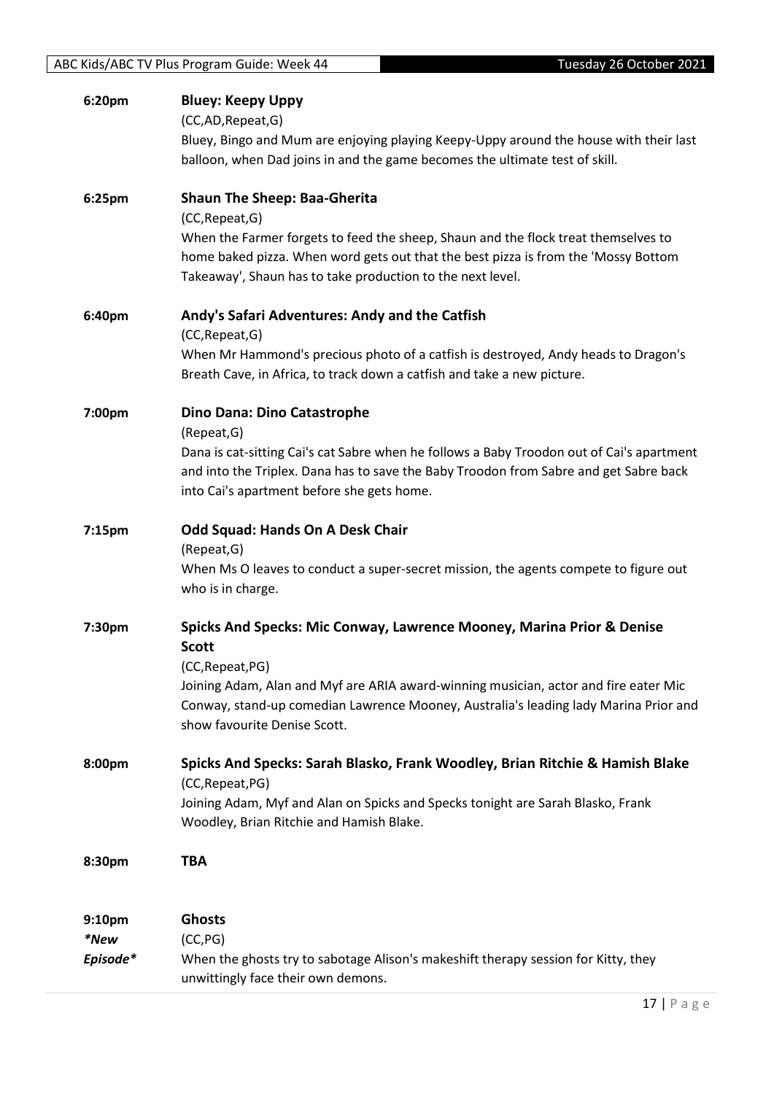| 6:20pm             | <b>Bluey: Keepy Uppy</b><br>(CC,AD,Repeat,G)<br>Bluey, Bingo and Mum are enjoying playing Keepy-Uppy around the house with their last<br>balloon, when Dad joins in and the game becomes the ultimate test of skill.                   |
|--------------------|----------------------------------------------------------------------------------------------------------------------------------------------------------------------------------------------------------------------------------------|
| 6:25pm             | <b>Shaun The Sheep: Baa-Gherita</b><br>(CC, Repeat, G)                                                                                                                                                                                 |
|                    | When the Farmer forgets to feed the sheep, Shaun and the flock treat themselves to<br>home baked pizza. When word gets out that the best pizza is from the 'Mossy Bottom<br>Takeaway', Shaun has to take production to the next level. |
| 6:40pm             | Andy's Safari Adventures: Andy and the Catfish<br>(CC, Repeat, G)                                                                                                                                                                      |
|                    | When Mr Hammond's precious photo of a catfish is destroyed, Andy heads to Dragon's<br>Breath Cave, in Africa, to track down a catfish and take a new picture.                                                                          |
| 7:00pm             | Dino Dana: Dino Catastrophe<br>(Repeat, G)                                                                                                                                                                                             |
|                    | Dana is cat-sitting Cai's cat Sabre when he follows a Baby Troodon out of Cai's apartment<br>and into the Triplex. Dana has to save the Baby Troodon from Sabre and get Sabre back<br>into Cai's apartment before she gets home.       |
| 7:15pm             | <b>Odd Squad: Hands On A Desk Chair</b><br>(Repeat, G)                                                                                                                                                                                 |
|                    | When Ms O leaves to conduct a super-secret mission, the agents compete to figure out<br>who is in charge.                                                                                                                              |
| 7:30pm             | Spicks And Specks: Mic Conway, Lawrence Mooney, Marina Prior & Denise<br><b>Scott</b><br>(CC, Repeat, PG)                                                                                                                              |
|                    | Joining Adam, Alan and Myf are ARIA award-winning musician, actor and fire eater Mic<br>Conway, stand-up comedian Lawrence Mooney, Australia's leading lady Marina Prior and<br>show favourite Denise Scott.                           |
| 8:00pm             | Spicks And Specks: Sarah Blasko, Frank Woodley, Brian Ritchie & Hamish Blake<br>(CC, Repeat, PG)                                                                                                                                       |
|                    | Joining Adam, Myf and Alan on Spicks and Specks tonight are Sarah Blasko, Frank<br>Woodley, Brian Ritchie and Hamish Blake.                                                                                                            |
| 8:30pm             | TBA                                                                                                                                                                                                                                    |
| 9:10 <sub>pm</sub> | <b>Ghosts</b>                                                                                                                                                                                                                          |
| *New<br>Episode*   | (CC, PG)<br>When the ghosts try to sabotage Alison's makeshift therapy session for Kitty, they<br>unwittingly face their own demons.                                                                                                   |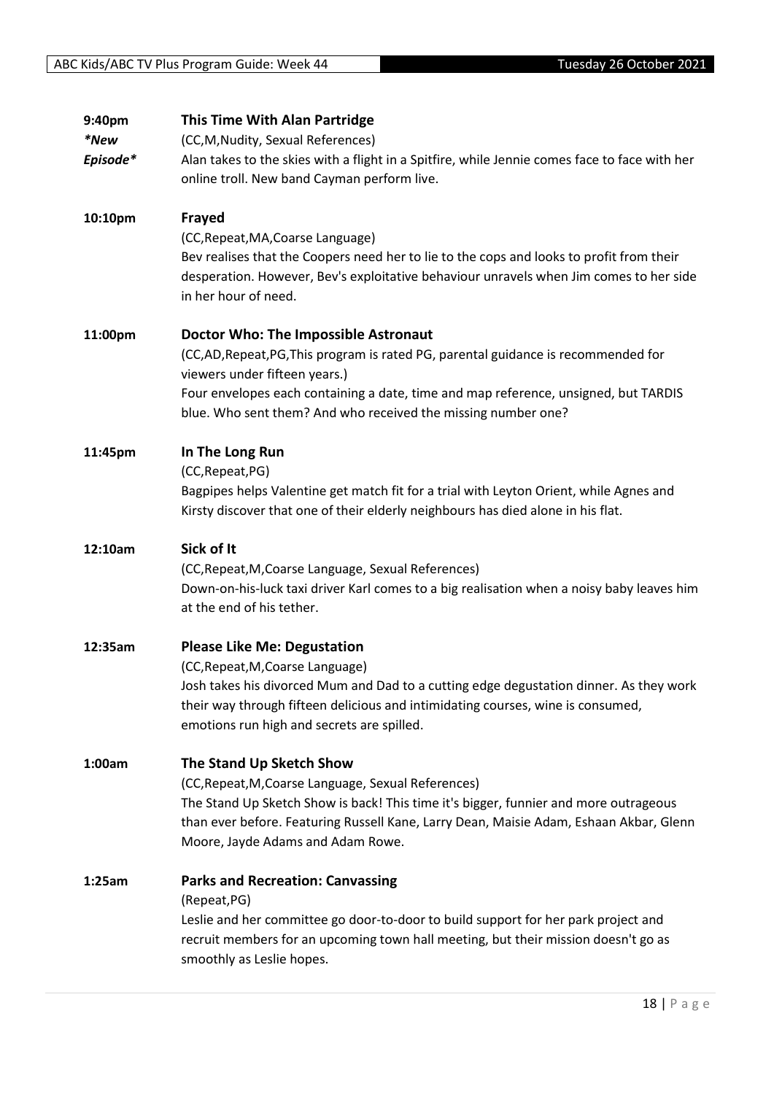| 9:40pm   | <b>This Time With Alan Partridge</b>                                                                                                                                                                                    |
|----------|-------------------------------------------------------------------------------------------------------------------------------------------------------------------------------------------------------------------------|
| *New     | (CC, M, Nudity, Sexual References)                                                                                                                                                                                      |
| Episode* | Alan takes to the skies with a flight in a Spitfire, while Jennie comes face to face with her                                                                                                                           |
|          | online troll. New band Cayman perform live.                                                                                                                                                                             |
| 10:10pm  | Frayed                                                                                                                                                                                                                  |
|          | (CC, Repeat, MA, Coarse Language)                                                                                                                                                                                       |
|          | Bev realises that the Coopers need her to lie to the cops and looks to profit from their<br>desperation. However, Bev's exploitative behaviour unravels when Jim comes to her side<br>in her hour of need.              |
| 11:00pm  | <b>Doctor Who: The Impossible Astronaut</b>                                                                                                                                                                             |
|          | (CC,AD, Repeat, PG, This program is rated PG, parental guidance is recommended for<br>viewers under fifteen years.)                                                                                                     |
|          | Four envelopes each containing a date, time and map reference, unsigned, but TARDIS<br>blue. Who sent them? And who received the missing number one?                                                                    |
| 11:45pm  | In The Long Run                                                                                                                                                                                                         |
|          | (CC, Repeat, PG)                                                                                                                                                                                                        |
|          | Bagpipes helps Valentine get match fit for a trial with Leyton Orient, while Agnes and                                                                                                                                  |
|          | Kirsty discover that one of their elderly neighbours has died alone in his flat.                                                                                                                                        |
| 12:10am  | Sick of It                                                                                                                                                                                                              |
|          | (CC, Repeat, M, Coarse Language, Sexual References)                                                                                                                                                                     |
|          | Down-on-his-luck taxi driver Karl comes to a big realisation when a noisy baby leaves him<br>at the end of his tether.                                                                                                  |
| 12:35am  | <b>Please Like Me: Degustation</b>                                                                                                                                                                                      |
|          | (CC, Repeat, M, Coarse Language)                                                                                                                                                                                        |
|          | Josh takes his divorced Mum and Dad to a cutting edge degustation dinner. As they work<br>their way through fifteen delicious and intimidating courses, wine is consumed,<br>emotions run high and secrets are spilled. |
| 1:00am   | The Stand Up Sketch Show                                                                                                                                                                                                |
|          | (CC, Repeat, M, Coarse Language, Sexual References)                                                                                                                                                                     |
|          | The Stand Up Sketch Show is back! This time it's bigger, funnier and more outrageous                                                                                                                                    |
|          | than ever before. Featuring Russell Kane, Larry Dean, Maisie Adam, Eshaan Akbar, Glenn                                                                                                                                  |
|          | Moore, Jayde Adams and Adam Rowe.                                                                                                                                                                                       |
| 1:25am   | <b>Parks and Recreation: Canvassing</b>                                                                                                                                                                                 |
|          | (Repeat, PG)                                                                                                                                                                                                            |
|          | Leslie and her committee go door-to-door to build support for her park project and<br>recruit members for an upcoming town hall meeting, but their mission doesn't go as<br>smoothly as Leslie hopes.                   |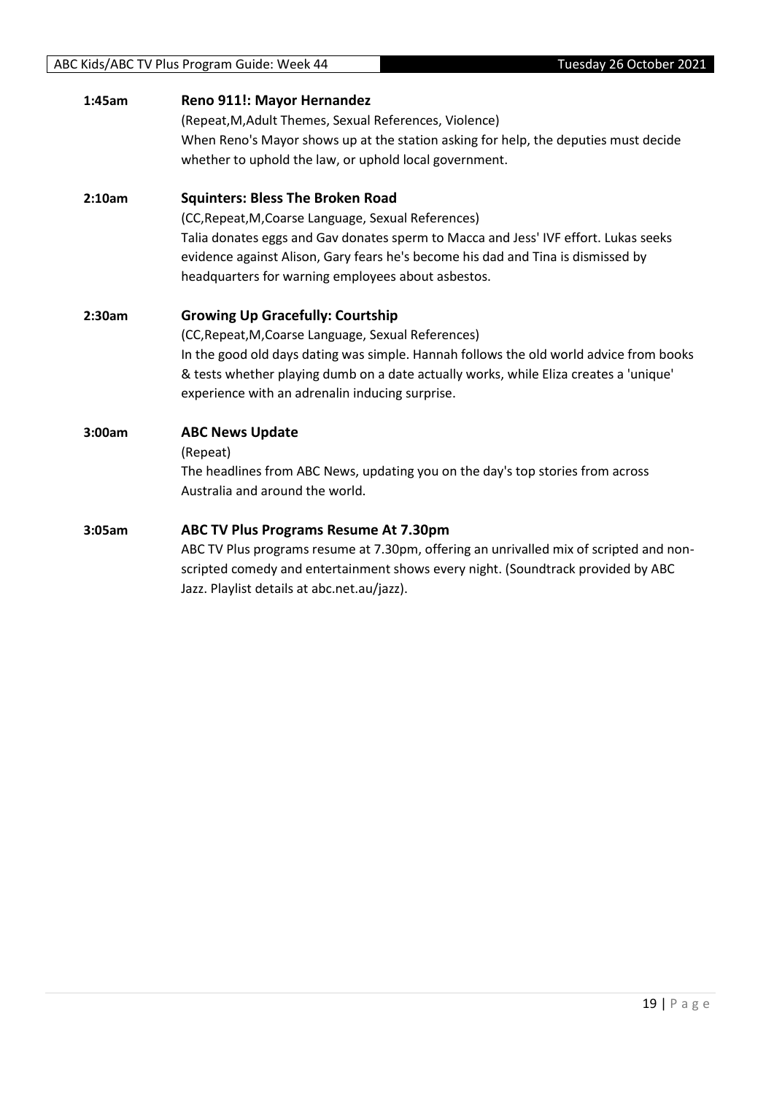| Reno 911!: Mayor Hernandez<br>1:45am |
|--------------------------------------|
|--------------------------------------|

(Repeat,M,Adult Themes, Sexual References, Violence) When Reno's Mayor shows up at the station asking for help, the deputies must decide whether to uphold the law, or uphold local government.

#### **2:10am Squinters: Bless The Broken Road**

(CC,Repeat,M,Coarse Language, Sexual References) Talia donates eggs and Gav donates sperm to Macca and Jess' IVF effort. Lukas seeks evidence against Alison, Gary fears he's become his dad and Tina is dismissed by headquarters for warning employees about asbestos.

#### **2:30am Growing Up Gracefully: Courtship**

(CC,Repeat,M,Coarse Language, Sexual References) In the good old days dating was simple. Hannah follows the old world advice from books & tests whether playing dumb on a date actually works, while Eliza creates a 'unique' experience with an adrenalin inducing surprise.

#### **3:00am ABC News Update**

(Repeat)

The headlines from ABC News, updating you on the day's top stories from across Australia and around the world.

#### **3:05am ABC TV Plus Programs Resume At 7.30pm**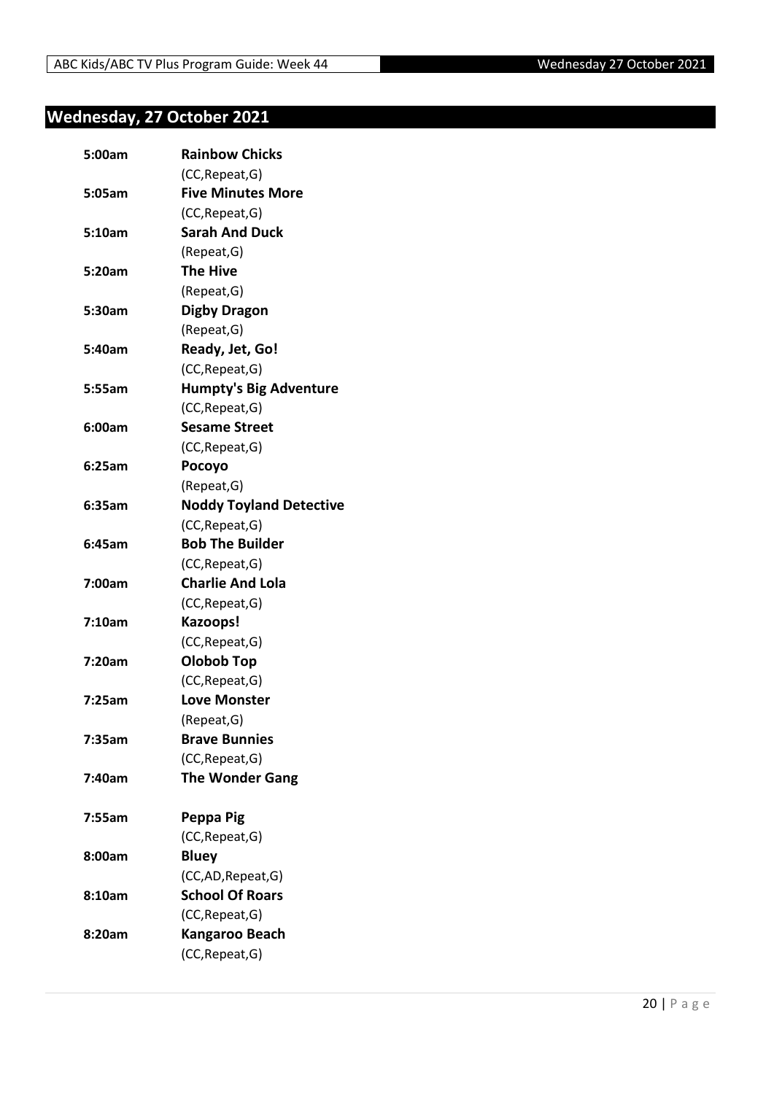## <span id="page-19-0"></span>**Wednesday, 27 October 2021**

| 5:00am | <b>Rainbow Chicks</b>          |
|--------|--------------------------------|
|        | (CC, Repeat, G)                |
| 5:05am | <b>Five Minutes More</b>       |
|        | (CC, Repeat, G)                |
| 5:10am | <b>Sarah And Duck</b>          |
|        | (Repeat, G)                    |
| 5:20am | <b>The Hive</b>                |
|        | (Repeat, G)                    |
| 5:30am | <b>Digby Dragon</b>            |
|        | (Repeat, G)                    |
| 5:40am | Ready, Jet, Go!                |
|        | (CC, Repeat, G)                |
| 5:55am | <b>Humpty's Big Adventure</b>  |
|        | (CC, Repeat, G)                |
| 6:00am | <b>Sesame Street</b>           |
|        | (CC, Repeat, G)                |
| 6:25am | Pocoyo                         |
|        | (Repeat, G)                    |
| 6:35am | <b>Noddy Toyland Detective</b> |
|        | (CC, Repeat, G)                |
| 6:45am | <b>Bob The Builder</b>         |
|        | (CC, Repeat, G)                |
| 7:00am | <b>Charlie And Lola</b>        |
|        | (CC, Repeat, G)                |
| 7:10am | Kazoops!                       |
|        | (CC, Repeat, G)                |
| 7:20am | Olobob Top                     |
|        | (CC, Repeat, G)                |
| 7:25am | <b>Love Monster</b>            |
|        | (Repeat, G)                    |
| 7:35am | <b>Brave Bunnies</b>           |
|        | (CC, Repeat, G)                |
| 7:40am | <b>The Wonder Gang</b>         |
|        |                                |
| 7:55am | Peppa Pig                      |
|        | (CC, Repeat, G)                |
| 8:00am | <b>Bluey</b>                   |
|        | (CC,AD, Repeat, G)             |
| 8:10am | <b>School Of Roars</b>         |
|        | (CC, Repeat, G)                |
| 8:20am | Kangaroo Beach                 |
|        | (CC, Repeat, G)                |
|        |                                |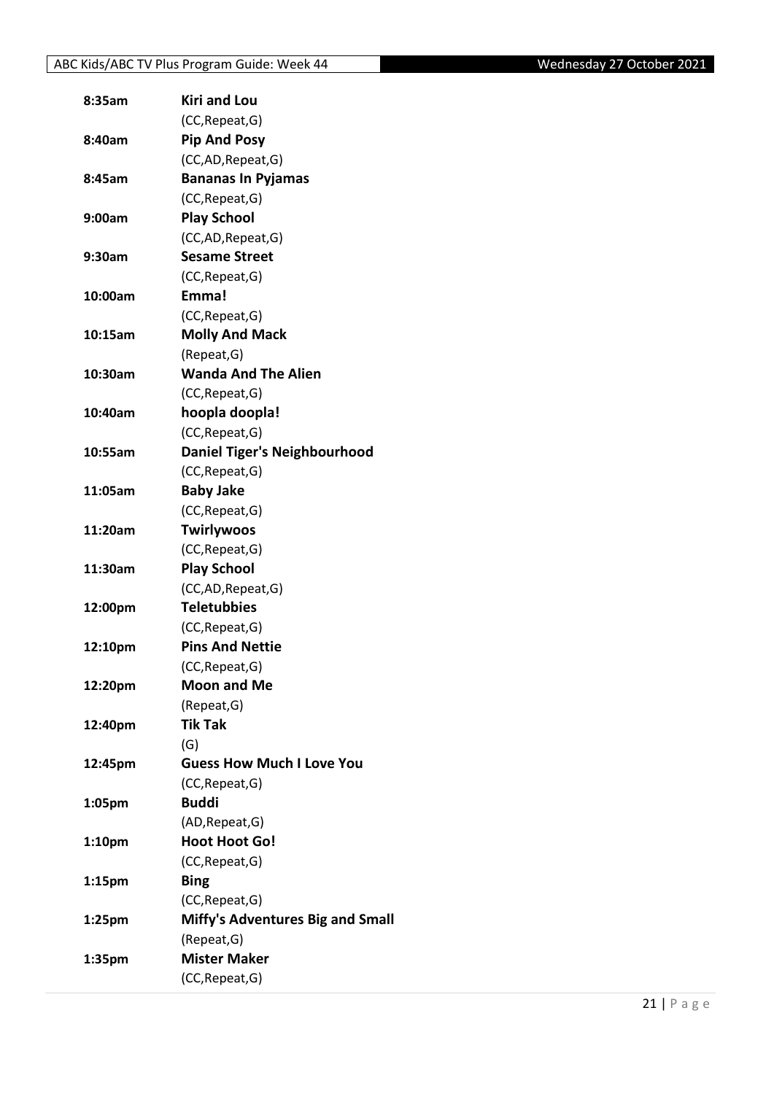| 8:35am             | <b>Kiri and Lou</b>                       |
|--------------------|-------------------------------------------|
|                    | (CC, Repeat, G)                           |
| 8:40am             | <b>Pip And Posy</b>                       |
|                    | (CC,AD, Repeat, G)                        |
| 8:45am             | <b>Bananas In Pyjamas</b>                 |
|                    | (CC, Repeat, G)                           |
| 9:00am             | <b>Play School</b>                        |
|                    | (CC,AD, Repeat, G)                        |
| 9:30am             | <b>Sesame Street</b>                      |
|                    | (CC, Repeat, G)                           |
| 10:00am            | Emma!                                     |
|                    | (CC, Repeat, G)                           |
| 10:15am            | <b>Molly And Mack</b>                     |
|                    | (Repeat, G)                               |
| 10:30am            | <b>Wanda And The Alien</b>                |
|                    | (CC, Repeat, G)                           |
| 10:40am            | hoopla doopla!                            |
|                    | (CC, Repeat, G)                           |
| 10:55am            | <b>Daniel Tiger's Neighbourhood</b>       |
|                    | (CC, Repeat, G)                           |
| 11:05am            | <b>Baby Jake</b>                          |
|                    | (CC, Repeat, G)                           |
| 11:20am            | <b>Twirlywoos</b>                         |
|                    | (CC, Repeat, G)                           |
| 11:30am            | <b>Play School</b>                        |
|                    | (CC,AD,Repeat,G)                          |
| 12:00pm            | <b>Teletubbies</b>                        |
|                    |                                           |
|                    | (CC, Repeat, G)<br><b>Pins And Nettie</b> |
| 12:10pm            |                                           |
|                    | (CC, Repeat, G)<br><b>Moon and Me</b>     |
| 12:20pm            |                                           |
|                    | (Repeat, G)                               |
| 12:40pm            | <b>Tik Tak</b>                            |
|                    | (G)                                       |
| 12:45pm            | <b>Guess How Much I Love You</b>          |
|                    | (CC, Repeat, G)                           |
| 1:05pm             | <b>Buddi</b>                              |
|                    | (AD, Repeat, G)                           |
| 1:10 <sub>pm</sub> | <b>Hoot Hoot Go!</b>                      |
|                    | (CC, Repeat, G)                           |
| 1:15 <sub>pm</sub> | <b>Bing</b>                               |
|                    | (CC, Repeat, G)                           |
| 1:25 <sub>pm</sub> | <b>Miffy's Adventures Big and Small</b>   |
|                    | (Repeat, G)                               |
| 1:35pm             | <b>Mister Maker</b>                       |
|                    | (CC, Repeat, G)                           |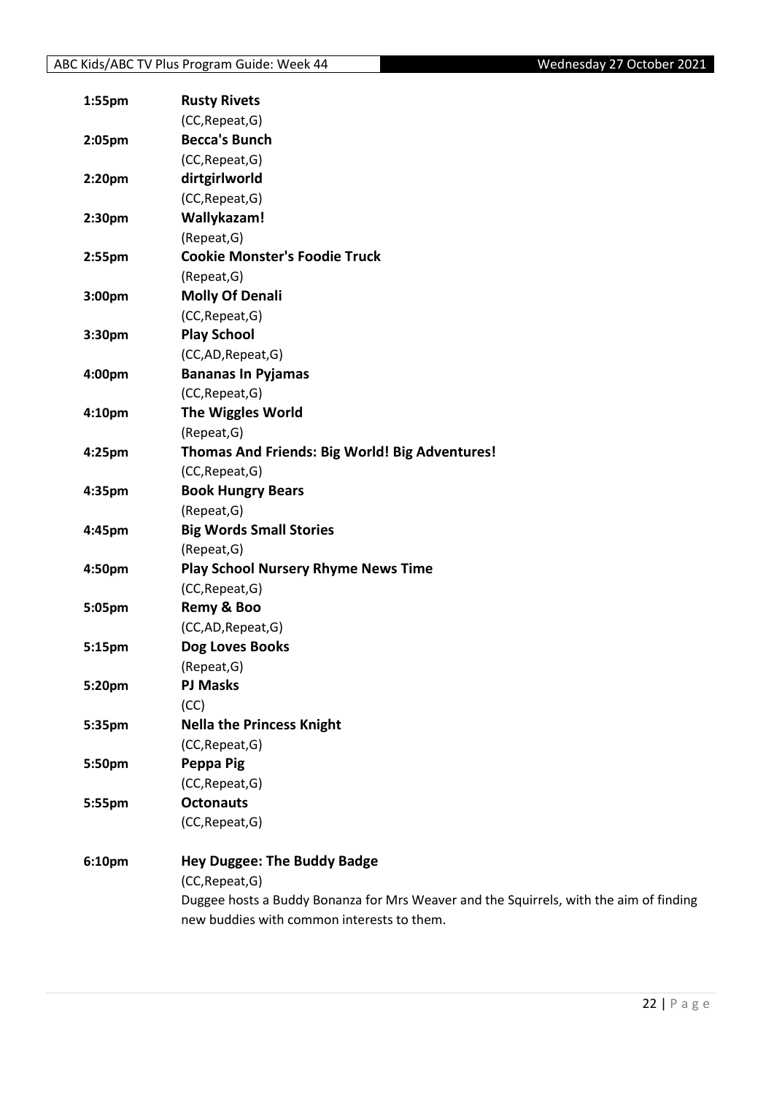| 1:55pm             | <b>Rusty Rivets</b>                                                                    |
|--------------------|----------------------------------------------------------------------------------------|
|                    | (CC, Repeat, G)                                                                        |
| 2:05pm             | <b>Becca's Bunch</b>                                                                   |
|                    | (CC, Repeat, G)                                                                        |
| 2:20pm             | dirtgirlworld                                                                          |
|                    | (CC, Repeat, G)                                                                        |
| 2:30pm             | Wallykazam!                                                                            |
|                    | (Repeat, G)                                                                            |
| 2:55pm             | <b>Cookie Monster's Foodie Truck</b>                                                   |
|                    | (Repeat, G)                                                                            |
| 3:00pm             | <b>Molly Of Denali</b>                                                                 |
|                    | (CC, Repeat, G)                                                                        |
| 3:30pm             | <b>Play School</b>                                                                     |
|                    | (CC,AD,Repeat,G)                                                                       |
| 4:00pm             | <b>Bananas In Pyjamas</b>                                                              |
|                    | (CC, Repeat, G)                                                                        |
| 4:10 <sub>pm</sub> | The Wiggles World                                                                      |
|                    | (Repeat, G)                                                                            |
| 4:25pm             | Thomas And Friends: Big World! Big Adventures!                                         |
|                    | (CC, Repeat, G)                                                                        |
| 4:35pm             | <b>Book Hungry Bears</b>                                                               |
|                    | (Repeat, G)                                                                            |
| 4:45pm             | <b>Big Words Small Stories</b>                                                         |
|                    | (Repeat, G)                                                                            |
| 4:50pm             | <b>Play School Nursery Rhyme News Time</b>                                             |
|                    | (CC, Repeat, G)                                                                        |
| 5:05pm             | Remy & Boo                                                                             |
|                    | (CC,AD,Repeat,G)                                                                       |
| 5:15pm             | Dog Loves Books                                                                        |
|                    | (Repeat, G)                                                                            |
| 5:20pm             | <b>PJ Masks</b>                                                                        |
|                    | (CC)                                                                                   |
| 5:35pm             | <b>Nella the Princess Knight</b>                                                       |
|                    | (CC, Repeat, G)                                                                        |
| 5:50pm             | Peppa Pig                                                                              |
|                    | (CC, Repeat, G)                                                                        |
| 5:55pm             | <b>Octonauts</b>                                                                       |
|                    | (CC, Repeat, G)                                                                        |
| 6:10pm             | <b>Hey Duggee: The Buddy Badge</b>                                                     |
|                    | (CC, Repeat, G)                                                                        |
|                    | Duggee hosts a Buddy Bonanza for Mrs Weaver and the Squirrels, with the aim of finding |
|                    | new buddies with common interests to them.                                             |
|                    |                                                                                        |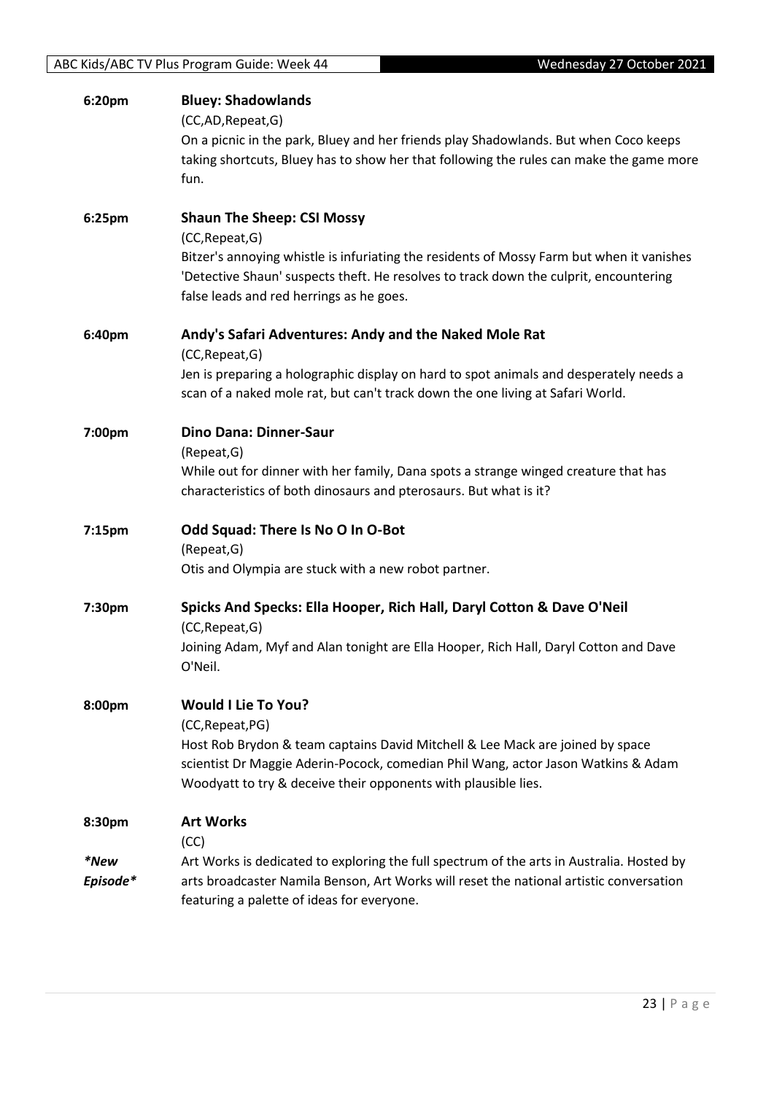| 6:20pm           | <b>Bluey: Shadowlands</b><br>(CC,AD,Repeat,G)<br>On a picnic in the park, Bluey and her friends play Shadowlands. But when Coco keeps<br>taking shortcuts, Bluey has to show her that following the rules can make the game more<br>fun.                                               |
|------------------|----------------------------------------------------------------------------------------------------------------------------------------------------------------------------------------------------------------------------------------------------------------------------------------|
| 6:25pm           | <b>Shaun The Sheep: CSI Mossy</b><br>(CC, Repeat, G)<br>Bitzer's annoying whistle is infuriating the residents of Mossy Farm but when it vanishes<br>'Detective Shaun' suspects theft. He resolves to track down the culprit, encountering<br>false leads and red herrings as he goes. |
| 6:40pm           | Andy's Safari Adventures: Andy and the Naked Mole Rat<br>(CC, Repeat, G)<br>Jen is preparing a holographic display on hard to spot animals and desperately needs a<br>scan of a naked mole rat, but can't track down the one living at Safari World.                                   |
| 7:00pm           | <b>Dino Dana: Dinner-Saur</b><br>(Repeat, G)<br>While out for dinner with her family, Dana spots a strange winged creature that has<br>characteristics of both dinosaurs and pterosaurs. But what is it?                                                                               |
| 7:15pm           | Odd Squad: There Is No O In O-Bot<br>(Repeat, G)<br>Otis and Olympia are stuck with a new robot partner.                                                                                                                                                                               |
| 7:30pm           | Spicks And Specks: Ella Hooper, Rich Hall, Daryl Cotton & Dave O'Neil<br>(CC, Repeat, G)<br>Joining Adam, Myf and Alan tonight are Ella Hooper, Rich Hall, Daryl Cotton and Dave<br>O'Neil.                                                                                            |
| 8:00pm           | <b>Would I Lie To You?</b><br>(CC, Repeat, PG)<br>Host Rob Brydon & team captains David Mitchell & Lee Mack are joined by space<br>scientist Dr Maggie Aderin-Pocock, comedian Phil Wang, actor Jason Watkins & Adam<br>Woodyatt to try & deceive their opponents with plausible lies. |
| 8:30pm           | <b>Art Works</b>                                                                                                                                                                                                                                                                       |
| *New<br>Episode* | (CC)<br>Art Works is dedicated to exploring the full spectrum of the arts in Australia. Hosted by<br>arts broadcaster Namila Benson, Art Works will reset the national artistic conversation<br>featuring a palette of ideas for everyone.                                             |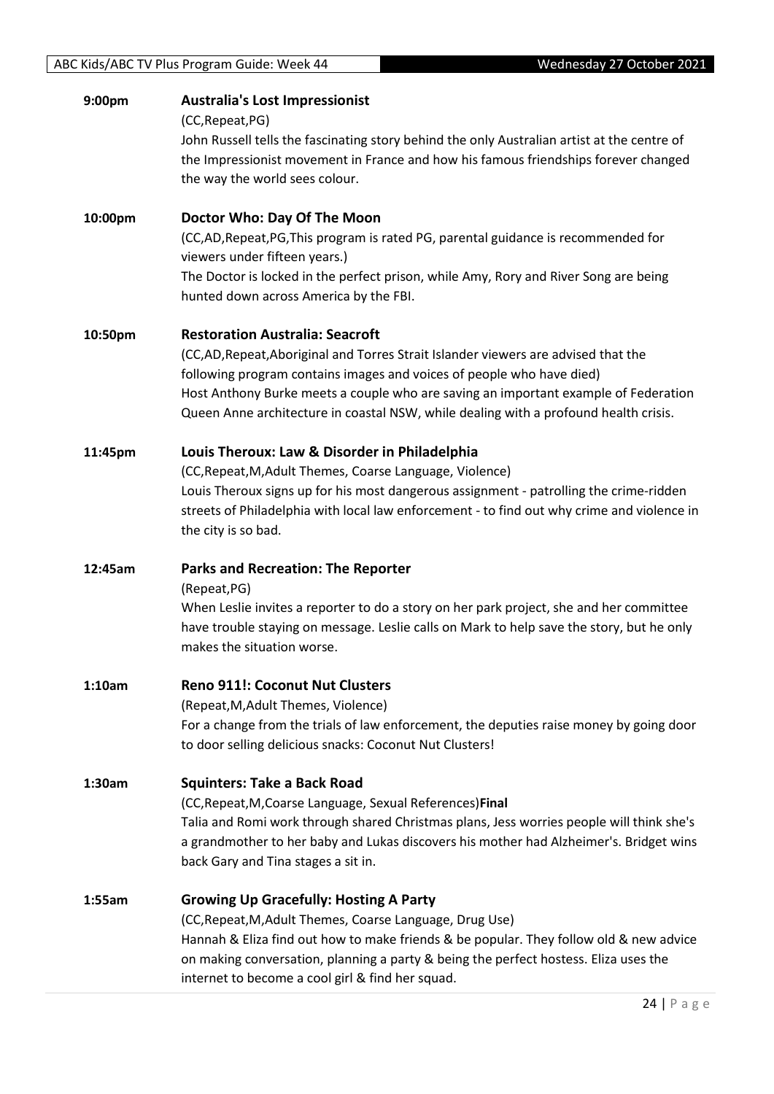| 9:00pm  | <b>Australia's Lost Impressionist</b><br>(CC, Repeat, PG)                                                                                          |
|---------|----------------------------------------------------------------------------------------------------------------------------------------------------|
|         | John Russell tells the fascinating story behind the only Australian artist at the centre of                                                        |
|         | the Impressionist movement in France and how his famous friendships forever changed                                                                |
|         | the way the world sees colour.                                                                                                                     |
| 10:00pm | Doctor Who: Day Of The Moon                                                                                                                        |
|         | (CC,AD,Repeat,PG,This program is rated PG, parental guidance is recommended for                                                                    |
|         | viewers under fifteen years.)                                                                                                                      |
|         | The Doctor is locked in the perfect prison, while Amy, Rory and River Song are being                                                               |
|         | hunted down across America by the FBI.                                                                                                             |
| 10:50pm | <b>Restoration Australia: Seacroft</b>                                                                                                             |
|         | (CC,AD, Repeat, Aboriginal and Torres Strait Islander viewers are advised that the                                                                 |
|         | following program contains images and voices of people who have died)                                                                              |
|         | Host Anthony Burke meets a couple who are saving an important example of Federation                                                                |
|         | Queen Anne architecture in coastal NSW, while dealing with a profound health crisis.                                                               |
| 11:45pm | Louis Theroux: Law & Disorder in Philadelphia                                                                                                      |
|         | (CC, Repeat, M, Adult Themes, Coarse Language, Violence)                                                                                           |
|         | Louis Theroux signs up for his most dangerous assignment - patrolling the crime-ridden                                                             |
|         | streets of Philadelphia with local law enforcement - to find out why crime and violence in                                                         |
|         | the city is so bad.                                                                                                                                |
| 12:45am | <b>Parks and Recreation: The Reporter</b>                                                                                                          |
|         | (Repeat, PG)                                                                                                                                       |
|         | When Leslie invites a reporter to do a story on her park project, she and her committee                                                            |
|         | have trouble staying on message. Leslie calls on Mark to help save the story, but he only<br>makes the situation worse.                            |
|         |                                                                                                                                                    |
| 1:10am  | <b>Reno 911!: Coconut Nut Clusters</b>                                                                                                             |
|         | (Repeat, M, Adult Themes, Violence)                                                                                                                |
|         | For a change from the trials of law enforcement, the deputies raise money by going door<br>to door selling delicious snacks: Coconut Nut Clusters! |
|         |                                                                                                                                                    |
| 1:30am  | <b>Squinters: Take a Back Road</b>                                                                                                                 |
|         | (CC, Repeat, M, Coarse Language, Sexual References) Final                                                                                          |
|         | Talia and Romi work through shared Christmas plans, Jess worries people will think she's                                                           |
|         | a grandmother to her baby and Lukas discovers his mother had Alzheimer's. Bridget wins<br>back Gary and Tina stages a sit in.                      |
|         |                                                                                                                                                    |
| 1:55am  | <b>Growing Up Gracefully: Hosting A Party</b>                                                                                                      |
|         | (CC, Repeat, M, Adult Themes, Coarse Language, Drug Use)                                                                                           |
|         | Hannah & Eliza find out how to make friends & be popular. They follow old & new advice                                                             |
|         | on making conversation, planning a party & being the perfect hostess. Eliza uses the<br>internet to become a cool girl & find her squad.           |
|         |                                                                                                                                                    |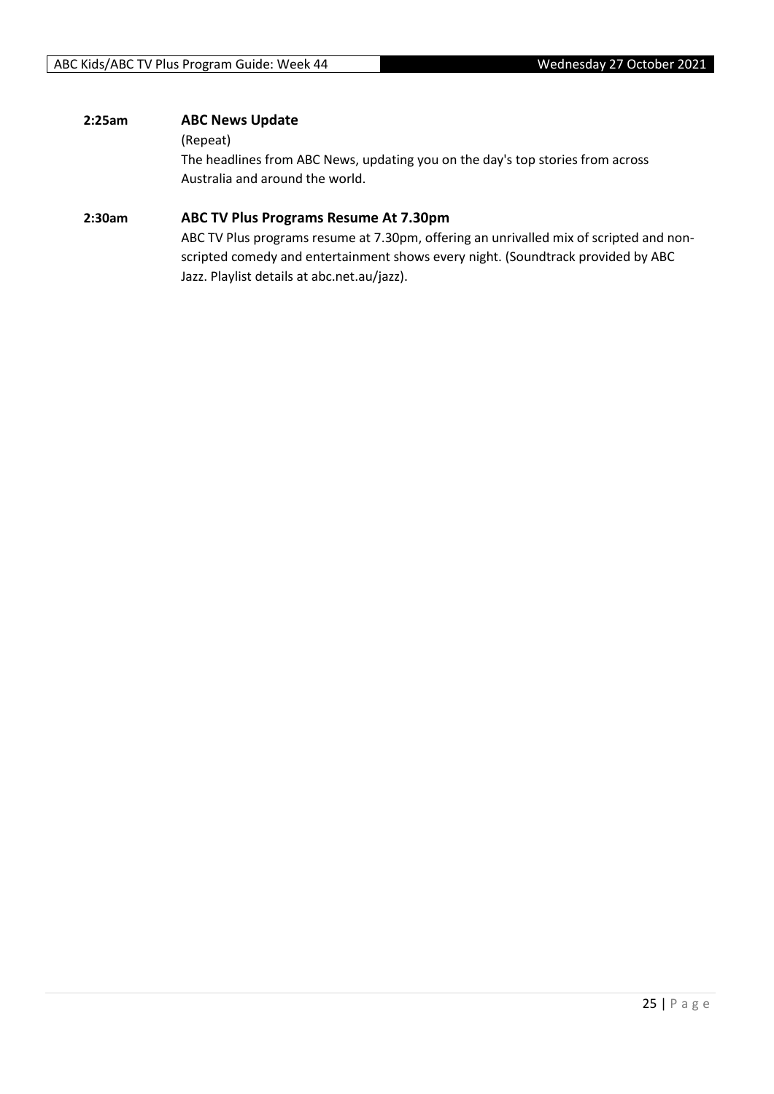#### **2:25am ABC News Update**

#### (Repeat)

The headlines from ABC News, updating you on the day's top stories from across Australia and around the world.

#### **2:30am ABC TV Plus Programs Resume At 7.30pm**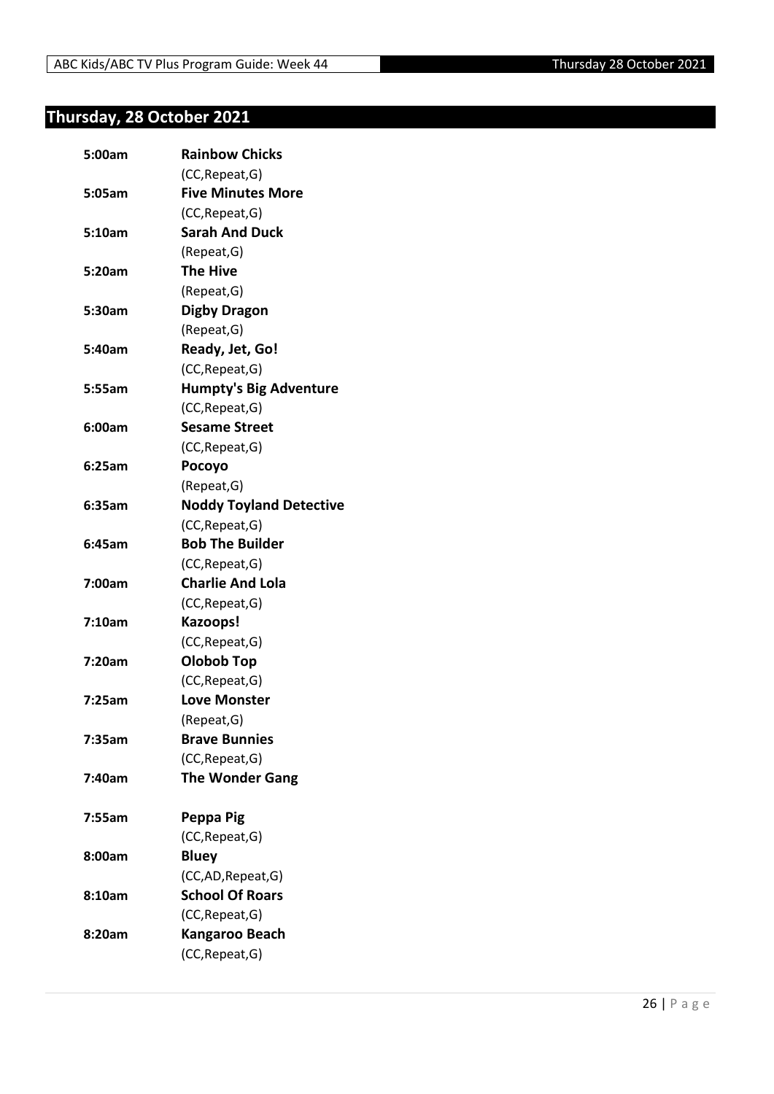## <span id="page-25-0"></span>**Thursday, 28 October 2021**

| 5:00am | <b>Rainbow Chicks</b>          |
|--------|--------------------------------|
|        | (CC, Repeat, G)                |
| 5:05am | <b>Five Minutes More</b>       |
|        | (CC, Repeat, G)                |
| 5:10am | <b>Sarah And Duck</b>          |
|        | (Repeat, G)                    |
| 5:20am | The Hive                       |
|        | (Repeat, G)                    |
| 5:30am | <b>Digby Dragon</b>            |
|        | (Repeat, G)                    |
| 5:40am | Ready, Jet, Go!                |
|        | (CC, Repeat, G)                |
| 5:55am | <b>Humpty's Big Adventure</b>  |
|        | (CC, Repeat, G)                |
| 6:00am | <b>Sesame Street</b>           |
|        | (CC, Repeat, G)                |
| 6:25am | Pocoyo                         |
|        | (Repeat, G)                    |
| 6:35am | <b>Noddy Toyland Detective</b> |
|        | (CC, Repeat, G)                |
| 6:45am | <b>Bob The Builder</b>         |
|        | (CC, Repeat, G)                |
| 7:00am | <b>Charlie And Lola</b>        |
|        | (CC, Repeat, G)                |
| 7:10am | Kazoops!                       |
|        | (CC, Repeat, G)                |
| 7:20am | <b>Olobob Top</b>              |
|        | (CC, Repeat, G)                |
| 7:25am | <b>Love Monster</b>            |
|        | (Repeat, G)                    |
| 7:35am | <b>Brave Bunnies</b>           |
|        | (CC, Repeat, G)                |
| 7:40am | <b>The Wonder Gang</b>         |
| 7:55am | Peppa Pig                      |
|        | (CC, Repeat, G)                |
| 8:00am | <b>Bluey</b>                   |
|        | (CC,AD, Repeat, G)             |
| 8:10am | <b>School Of Roars</b>         |
|        | (CC, Repeat, G)                |
| 8:20am | Kangaroo Beach                 |
|        | (CC, Repeat, G)                |
|        |                                |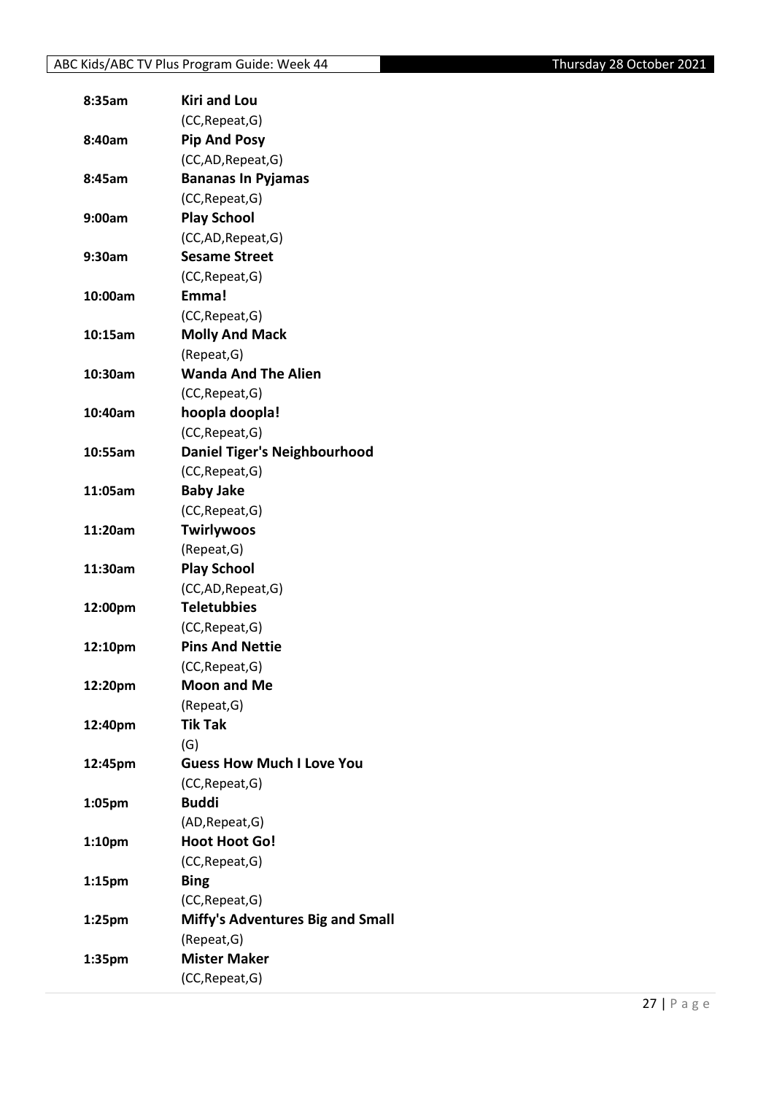| 8:35am             | <b>Kiri and Lou</b>                     |
|--------------------|-----------------------------------------|
|                    | (CC, Repeat, G)                         |
| 8:40am             | <b>Pip And Posy</b>                     |
|                    | (CC,AD, Repeat, G)                      |
| 8:45am             | <b>Bananas In Pyjamas</b>               |
|                    | (CC, Repeat, G)                         |
| 9:00am             | <b>Play School</b>                      |
|                    | (CC,AD, Repeat, G)                      |
| 9:30am             | <b>Sesame Street</b>                    |
|                    | (CC, Repeat, G)                         |
| 10:00am            | Emma!                                   |
|                    | (CC, Repeat, G)                         |
| 10:15am            | <b>Molly And Mack</b>                   |
|                    | (Repeat, G)                             |
| 10:30am            | <b>Wanda And The Alien</b>              |
|                    | (CC, Repeat, G)                         |
| 10:40am            | hoopla doopla!                          |
|                    | (CC, Repeat, G)                         |
| 10:55am            | <b>Daniel Tiger's Neighbourhood</b>     |
|                    | (CC, Repeat, G)                         |
| 11:05am            | <b>Baby Jake</b>                        |
|                    | (CC, Repeat, G)                         |
| 11:20am            | <b>Twirlywoos</b>                       |
|                    | (Repeat, G)                             |
| 11:30am            | <b>Play School</b>                      |
|                    | (CC,AD, Repeat, G)                      |
| 12:00pm            | <b>Teletubbies</b>                      |
|                    | (CC, Repeat, G)                         |
| 12:10pm            | <b>Pins And Nettie</b>                  |
|                    | (CC, Repeat, G)                         |
|                    | <b>Moon and Me</b>                      |
| 12:20pm            | (Repeat, G)                             |
|                    | <b>Tik Tak</b>                          |
| 12:40pm            |                                         |
|                    | (G)<br><b>Guess How Much I Love You</b> |
| 12:45pm            |                                         |
|                    | (CC, Repeat, G)<br><b>Buddi</b>         |
| 1:05pm             |                                         |
|                    | (AD, Repeat, G)                         |
| 1:10pm             | <b>Hoot Hoot Go!</b>                    |
|                    | (CC, Repeat, G)                         |
| 1:15 <sub>pm</sub> | <b>Bing</b>                             |
|                    | (CC, Repeat, G)                         |
| 1:25 <sub>pm</sub> | <b>Miffy's Adventures Big and Small</b> |
|                    | (Repeat, G)                             |
| 1:35pm             | <b>Mister Maker</b>                     |
|                    | (CC, Repeat, G)                         |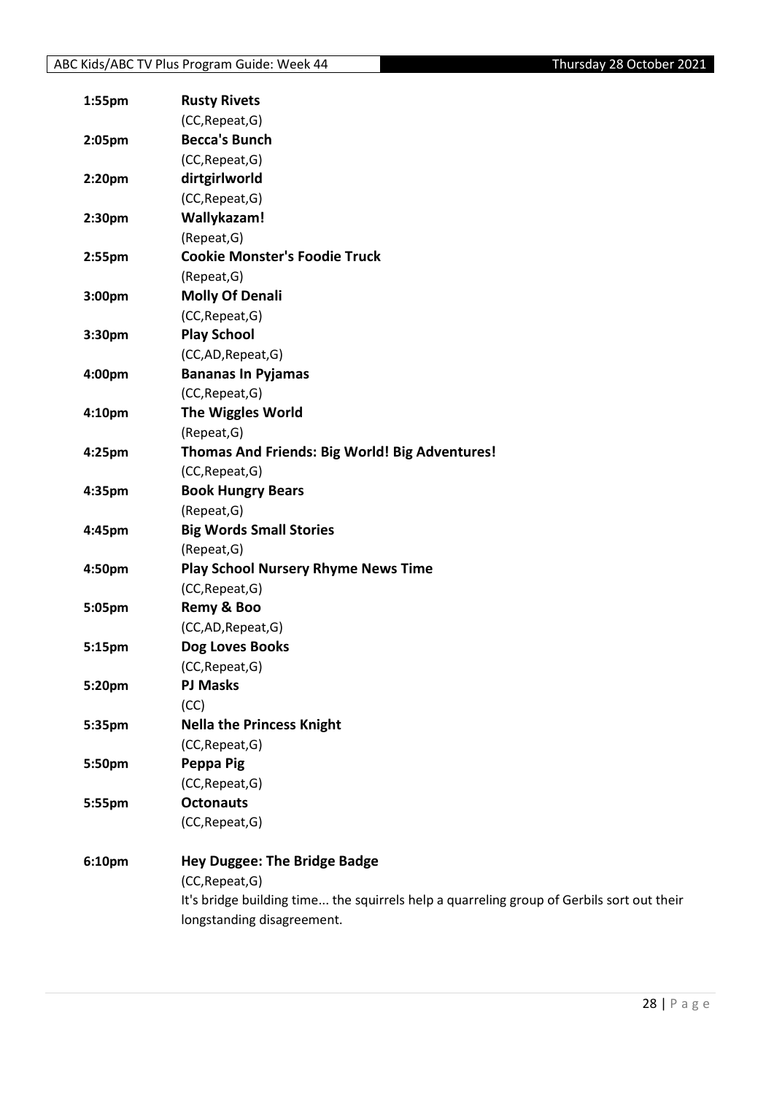| 1:55pm | <b>Rusty Rivets</b>                                                                       |
|--------|-------------------------------------------------------------------------------------------|
|        | (CC, Repeat, G)                                                                           |
| 2:05pm | <b>Becca's Bunch</b>                                                                      |
|        | (CC, Repeat, G)                                                                           |
| 2:20pm | dirtgirlworld                                                                             |
|        | (CC, Repeat, G)                                                                           |
| 2:30pm | Wallykazam!                                                                               |
|        | (Repeat, G)                                                                               |
| 2:55pm | <b>Cookie Monster's Foodie Truck</b>                                                      |
|        | (Repeat, G)                                                                               |
| 3:00pm | <b>Molly Of Denali</b>                                                                    |
|        | (CC, Repeat, G)                                                                           |
| 3:30pm | <b>Play School</b>                                                                        |
|        | (CC,AD,Repeat,G)                                                                          |
| 4:00pm | <b>Bananas In Pyjamas</b>                                                                 |
|        | (CC, Repeat, G)                                                                           |
| 4:10pm | The Wiggles World                                                                         |
|        | (Repeat, G)                                                                               |
| 4:25pm | Thomas And Friends: Big World! Big Adventures!                                            |
|        | (CC, Repeat, G)                                                                           |
| 4:35pm | <b>Book Hungry Bears</b>                                                                  |
|        | (Repeat, G)                                                                               |
| 4:45pm | <b>Big Words Small Stories</b>                                                            |
|        | (Repeat, G)                                                                               |
| 4:50pm | <b>Play School Nursery Rhyme News Time</b>                                                |
|        | (CC, Repeat, G)                                                                           |
| 5:05pm | Remy & Boo                                                                                |
|        | (CC,AD,Repeat,G)                                                                          |
| 5:15pm | Dog Loves Books                                                                           |
|        | (CC, Repeat, G)                                                                           |
| 5:20pm | <b>PJ Masks</b>                                                                           |
|        | (CC)                                                                                      |
| 5:35pm | <b>Nella the Princess Knight</b>                                                          |
|        | (CC, Repeat, G)                                                                           |
| 5:50pm | Peppa Pig                                                                                 |
|        | (CC, Repeat, G)                                                                           |
| 5:55pm | <b>Octonauts</b>                                                                          |
|        | (CC, Repeat, G)                                                                           |
| 6:10pm | <b>Hey Duggee: The Bridge Badge</b>                                                       |
|        | (CC, Repeat, G)                                                                           |
|        | It's bridge building time the squirrels help a quarreling group of Gerbils sort out their |
|        | longstanding disagreement.                                                                |
|        |                                                                                           |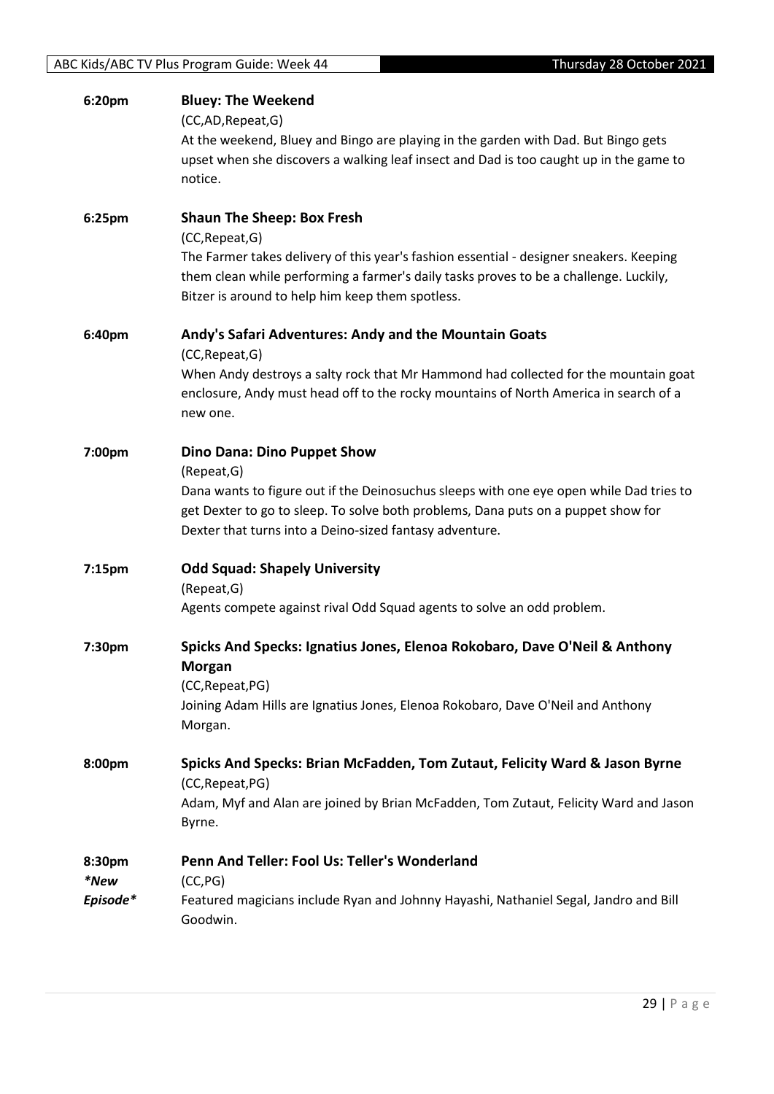| 6:20pm         | <b>Bluey: The Weekend</b><br>(CC,AD,Repeat,G)<br>At the weekend, Bluey and Bingo are playing in the garden with Dad. But Bingo gets<br>upset when she discovers a walking leaf insect and Dad is too caught up in the game to<br>notice.                |
|----------------|---------------------------------------------------------------------------------------------------------------------------------------------------------------------------------------------------------------------------------------------------------|
| 6:25pm         | <b>Shaun The Sheep: Box Fresh</b>                                                                                                                                                                                                                       |
|                | (CC, Repeat, G)<br>The Farmer takes delivery of this year's fashion essential - designer sneakers. Keeping<br>them clean while performing a farmer's daily tasks proves to be a challenge. Luckily,<br>Bitzer is around to help him keep them spotless. |
| 6:40pm         | Andy's Safari Adventures: Andy and the Mountain Goats<br>(CC, Repeat, G)                                                                                                                                                                                |
|                | When Andy destroys a salty rock that Mr Hammond had collected for the mountain goat<br>enclosure, Andy must head off to the rocky mountains of North America in search of a<br>new one.                                                                 |
| 7:00pm         | <b>Dino Dana: Dino Puppet Show</b><br>(Repeat, G)                                                                                                                                                                                                       |
|                | Dana wants to figure out if the Deinosuchus sleeps with one eye open while Dad tries to<br>get Dexter to go to sleep. To solve both problems, Dana puts on a puppet show for<br>Dexter that turns into a Deino-sized fantasy adventure.                 |
| 7:15pm         | <b>Odd Squad: Shapely University</b><br>(Repeat, G)                                                                                                                                                                                                     |
|                | Agents compete against rival Odd Squad agents to solve an odd problem.                                                                                                                                                                                  |
| 7:30pm         | Spicks And Specks: Ignatius Jones, Elenoa Rokobaro, Dave O'Neil & Anthony<br><b>Morgan</b><br>(CC, Repeat, PG)                                                                                                                                          |
|                | Joining Adam Hills are Ignatius Jones, Elenoa Rokobaro, Dave O'Neil and Anthony<br>Morgan.                                                                                                                                                              |
| 8:00pm         | Spicks And Specks: Brian McFadden, Tom Zutaut, Felicity Ward & Jason Byrne<br>(CC, Repeat, PG)                                                                                                                                                          |
|                | Adam, Myf and Alan are joined by Brian McFadden, Tom Zutaut, Felicity Ward and Jason<br>Byrne.                                                                                                                                                          |
| 8:30pm<br>*New | Penn And Teller: Fool Us: Teller's Wonderland<br>(CC, PG)                                                                                                                                                                                               |
| Episode*       | Featured magicians include Ryan and Johnny Hayashi, Nathaniel Segal, Jandro and Bill<br>Goodwin.                                                                                                                                                        |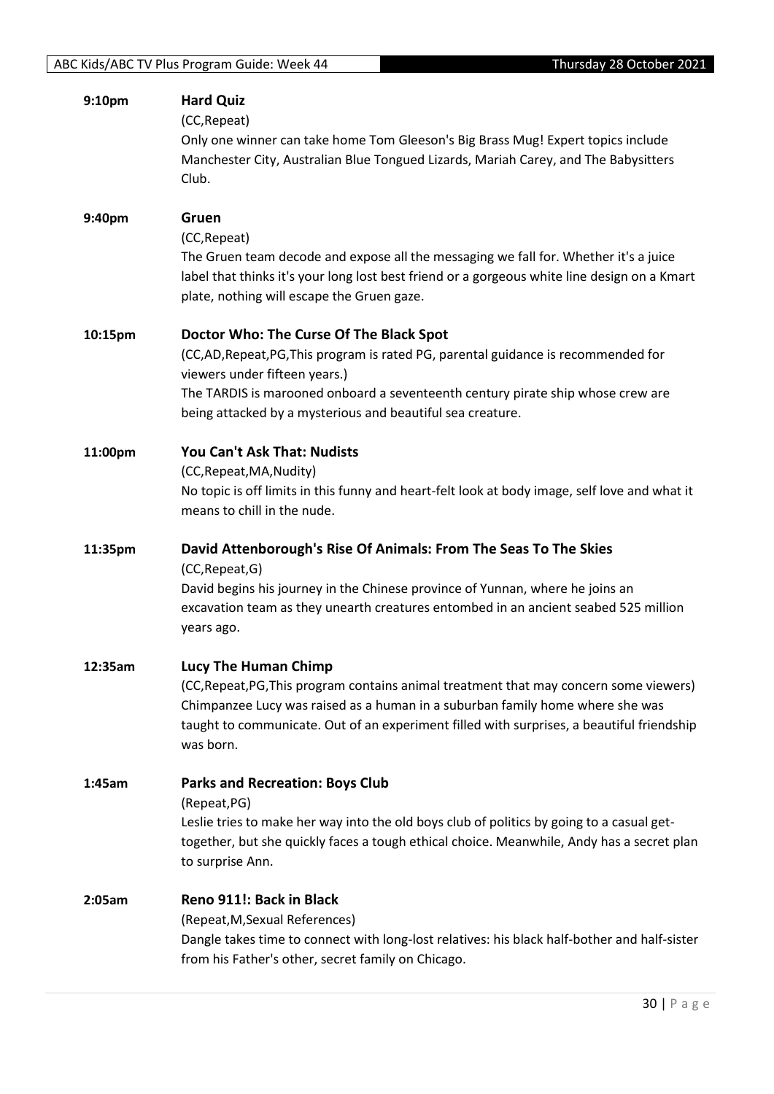| 9:10pm  | <b>Hard Quiz</b><br>(CC, Repeat)<br>Only one winner can take home Tom Gleeson's Big Brass Mug! Expert topics include<br>Manchester City, Australian Blue Tongued Lizards, Mariah Carey, and The Babysitters<br>Club.                                                                                         |
|---------|--------------------------------------------------------------------------------------------------------------------------------------------------------------------------------------------------------------------------------------------------------------------------------------------------------------|
| 9:40pm  | Gruen<br>(CC, Repeat)<br>The Gruen team decode and expose all the messaging we fall for. Whether it's a juice<br>label that thinks it's your long lost best friend or a gorgeous white line design on a Kmart<br>plate, nothing will escape the Gruen gaze.                                                  |
| 10:15pm | Doctor Who: The Curse Of The Black Spot<br>(CC,AD,Repeat,PG,This program is rated PG, parental guidance is recommended for<br>viewers under fifteen years.)<br>The TARDIS is marooned onboard a seventeenth century pirate ship whose crew are<br>being attacked by a mysterious and beautiful sea creature. |
| 11:00pm | You Can't Ask That: Nudists<br>(CC, Repeat, MA, Nudity)<br>No topic is off limits in this funny and heart-felt look at body image, self love and what it<br>means to chill in the nude.                                                                                                                      |
| 11:35pm | David Attenborough's Rise Of Animals: From The Seas To The Skies<br>(CC, Repeat, G)<br>David begins his journey in the Chinese province of Yunnan, where he joins an<br>excavation team as they unearth creatures entombed in an ancient seabed 525 million<br>years ago.                                    |
| 12:35am | Lucy The Human Chimp<br>(CC, Repeat, PG, This program contains animal treatment that may concern some viewers)<br>Chimpanzee Lucy was raised as a human in a suburban family home where she was<br>taught to communicate. Out of an experiment filled with surprises, a beautiful friendship<br>was born.    |
| 1:45am  | <b>Parks and Recreation: Boys Club</b><br>(Repeat, PG)<br>Leslie tries to make her way into the old boys club of politics by going to a casual get-<br>together, but she quickly faces a tough ethical choice. Meanwhile, Andy has a secret plan<br>to surprise Ann.                                         |
| 2:05am  | Reno 911!: Back in Black<br>(Repeat, M, Sexual References)<br>Dangle takes time to connect with long-lost relatives: his black half-bother and half-sister<br>from his Father's other, secret family on Chicago.                                                                                             |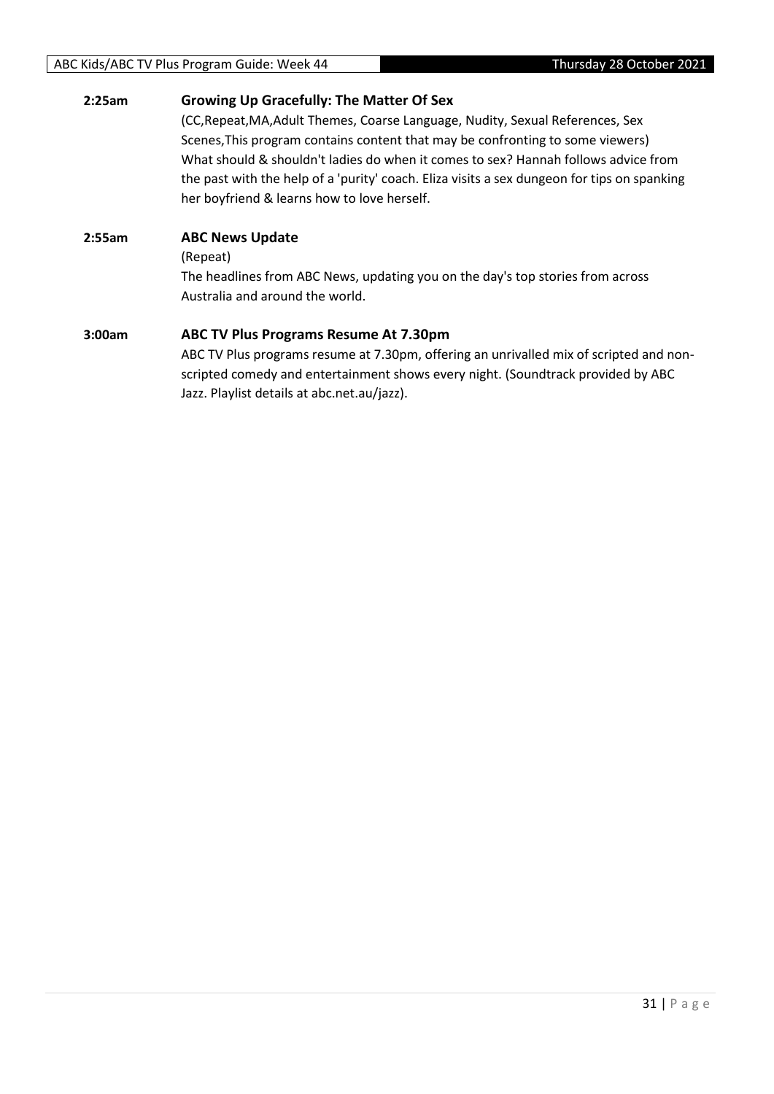#### ABC Kids/ABC TV Plus Program Guide: Week 44 Thursday 28 October 2021

#### **2:25am Growing Up Gracefully: The Matter Of Sex**

(CC,Repeat,MA,Adult Themes, Coarse Language, Nudity, Sexual References, Sex Scenes,This program contains content that may be confronting to some viewers) What should & shouldn't ladies do when it comes to sex? Hannah follows advice from the past with the help of a 'purity' coach. Eliza visits a sex dungeon for tips on spanking her boyfriend & learns how to love herself.

#### **2:55am ABC News Update**

(Repeat)

The headlines from ABC News, updating you on the day's top stories from across Australia and around the world.

#### **3:00am ABC TV Plus Programs Resume At 7.30pm**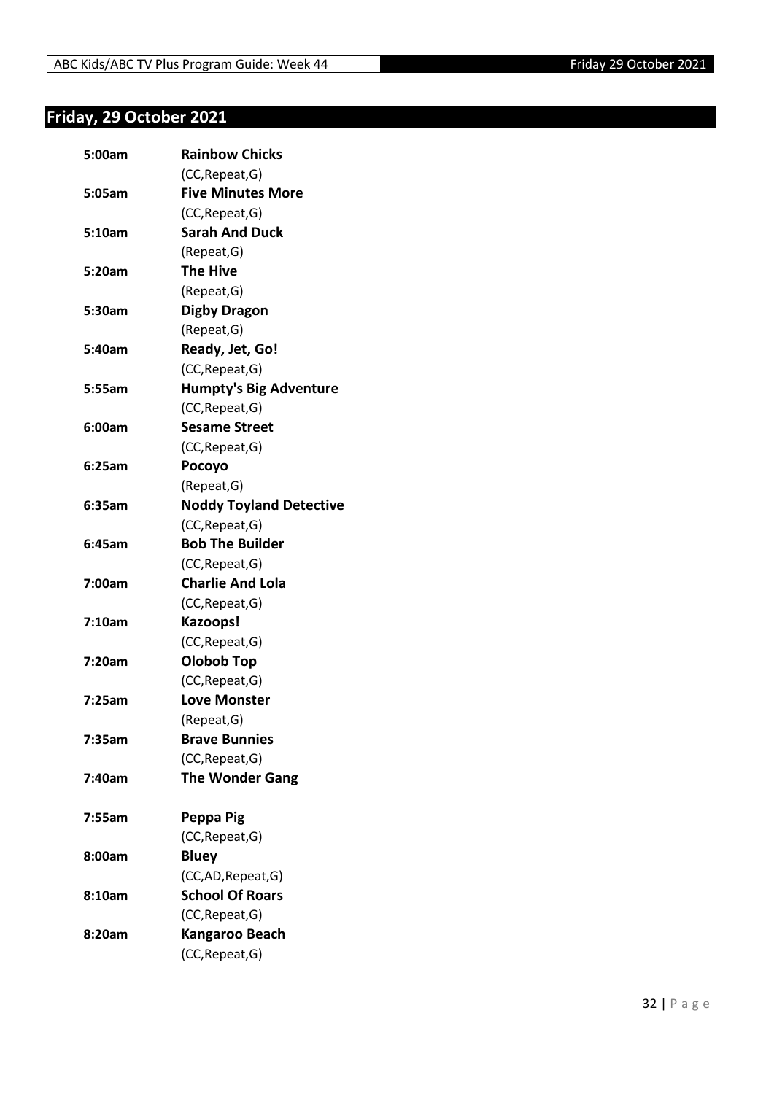## <span id="page-31-0"></span>**Friday, 29 October 2021**

| 5:00am | <b>Rainbow Chicks</b>          |
|--------|--------------------------------|
|        | (CC, Repeat, G)                |
| 5:05am | <b>Five Minutes More</b>       |
|        | (CC, Repeat, G)                |
| 5:10am | <b>Sarah And Duck</b>          |
|        | (Repeat, G)                    |
| 5:20am | <b>The Hive</b>                |
|        | (Repeat, G)                    |
| 5:30am | <b>Digby Dragon</b>            |
|        | (Repeat, G)                    |
| 5:40am | Ready, Jet, Go!                |
|        | (CC, Repeat, G)                |
| 5:55am | <b>Humpty's Big Adventure</b>  |
|        | (CC, Repeat, G)                |
| 6:00am | <b>Sesame Street</b>           |
|        | (CC, Repeat, G)                |
| 6:25am | Pocoyo                         |
|        | (Repeat, G)                    |
| 6:35am | <b>Noddy Toyland Detective</b> |
|        | (CC, Repeat, G)                |
| 6:45am | <b>Bob The Builder</b>         |
|        | (CC, Repeat, G)                |
| 7:00am | <b>Charlie And Lola</b>        |
|        | (CC, Repeat, G)                |
| 7:10am | Kazoops!                       |
|        | (CC, Repeat, G)                |
| 7:20am | <b>Olobob Top</b>              |
|        | (CC, Repeat, G)                |
| 7:25am | <b>Love Monster</b>            |
|        | (Repeat, G)                    |
| 7:35am | <b>Brave Bunnies</b>           |
|        | (CC, Repeat, G)                |
| 7:40am | <b>The Wonder Gang</b>         |
|        |                                |
| 7:55am | Peppa Pig                      |
|        | (CC, Repeat, G)                |
| 8:00am | <b>Bluey</b>                   |
|        | (CC,AD, Repeat, G)             |
| 8:10am | <b>School Of Roars</b>         |
|        | (CC, Repeat, G)                |
| 8:20am | Kangaroo Beach                 |
|        | (CC, Repeat, G)                |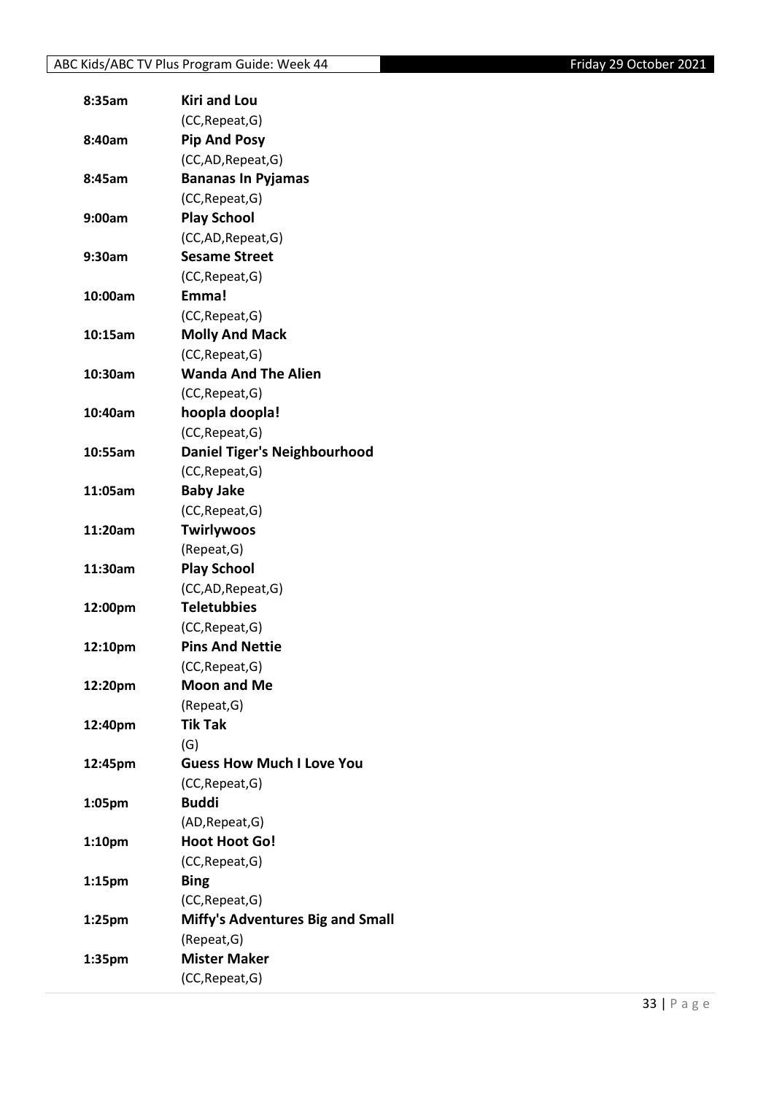| 8:35am             | <b>Kiri and Lou</b>                     |
|--------------------|-----------------------------------------|
|                    | (CC, Repeat, G)                         |
| 8:40am             | <b>Pip And Posy</b>                     |
|                    | (CC,AD, Repeat, G)                      |
| 8:45am             | <b>Bananas In Pyjamas</b>               |
|                    | (CC, Repeat, G)                         |
| 9:00am             | <b>Play School</b>                      |
|                    | (CC,AD, Repeat, G)                      |
| 9:30am             | <b>Sesame Street</b>                    |
|                    | (CC, Repeat, G)                         |
| 10:00am            | Emma!                                   |
|                    | (CC, Repeat, G)                         |
| 10:15am            | <b>Molly And Mack</b>                   |
|                    | (CC, Repeat, G)                         |
| 10:30am            | <b>Wanda And The Alien</b>              |
|                    | (CC, Repeat, G)                         |
| 10:40am            | hoopla doopla!                          |
|                    | (CC, Repeat, G)                         |
| 10:55am            | <b>Daniel Tiger's Neighbourhood</b>     |
|                    | (CC, Repeat, G)                         |
| 11:05am            | <b>Baby Jake</b>                        |
|                    | (CC, Repeat, G)                         |
| 11:20am            | <b>Twirlywoos</b>                       |
|                    | (Repeat, G)                             |
| 11:30am            | <b>Play School</b>                      |
|                    | (CC,AD, Repeat, G)                      |
| 12:00pm            | <b>Teletubbies</b>                      |
|                    | (CC, Repeat, G)                         |
| 12:10pm            | <b>Pins And Nettie</b>                  |
|                    | (CC, Repeat, G)                         |
| 12:20pm            | <b>Moon and Me</b>                      |
|                    | (Repeat, G)                             |
| 12:40pm            | <b>Tik Tak</b>                          |
|                    | (G)                                     |
| 12:45pm            | <b>Guess How Much I Love You</b>        |
|                    | (CC, Repeat, G)                         |
| 1:05pm             | <b>Buddi</b>                            |
|                    | (AD, Repeat, G)                         |
| 1:10 <sub>pm</sub> | <b>Hoot Hoot Go!</b>                    |
|                    | (CC, Repeat, G)                         |
| 1:15pm             | <b>Bing</b>                             |
|                    | (CC, Repeat, G)                         |
| 1:25 <sub>pm</sub> | <b>Miffy's Adventures Big and Small</b> |
|                    | (Repeat, G)                             |
| 1:35pm             | <b>Mister Maker</b>                     |
|                    | (CC, Repeat, G)                         |
|                    |                                         |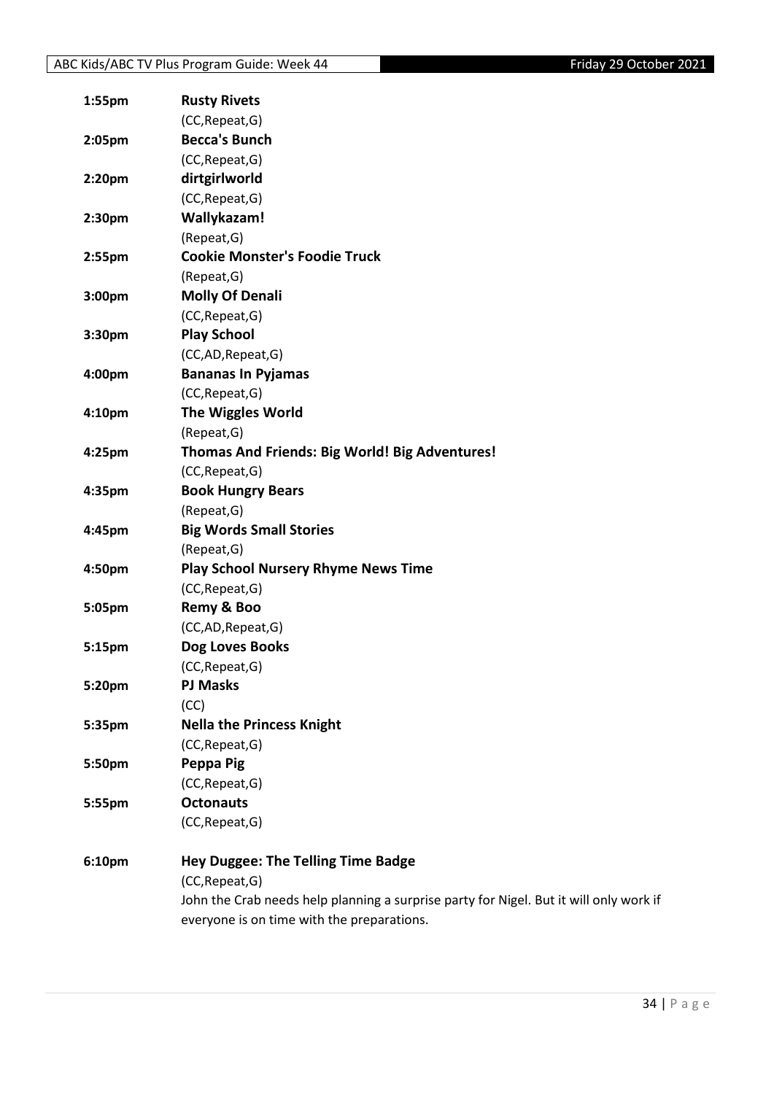| 1:55pm             | <b>Rusty Rivets</b>                                                                    |
|--------------------|----------------------------------------------------------------------------------------|
|                    | (CC, Repeat, G)                                                                        |
| 2:05pm             | <b>Becca's Bunch</b>                                                                   |
|                    | (CC, Repeat, G)                                                                        |
| 2:20 <sub>pm</sub> | dirtgirlworld                                                                          |
|                    | (CC, Repeat, G)                                                                        |
| 2:30 <sub>pm</sub> | Wallykazam!                                                                            |
|                    | (Repeat, G)                                                                            |
| 2:55pm             | <b>Cookie Monster's Foodie Truck</b>                                                   |
|                    | (Repeat, G)                                                                            |
| 3:00pm             | <b>Molly Of Denali</b>                                                                 |
|                    | (CC, Repeat, G)                                                                        |
| 3:30pm             | <b>Play School</b>                                                                     |
|                    | (CC,AD,Repeat,G)                                                                       |
| 4:00pm             | <b>Bananas In Pyjamas</b>                                                              |
|                    | (CC, Repeat, G)                                                                        |
| 4:10 <sub>pm</sub> | <b>The Wiggles World</b>                                                               |
|                    | (Repeat, G)                                                                            |
| 4:25pm             | Thomas And Friends: Big World! Big Adventures!                                         |
|                    | (CC, Repeat, G)                                                                        |
| 4:35pm             | <b>Book Hungry Bears</b>                                                               |
|                    | (Repeat, G)                                                                            |
| 4:45pm             | <b>Big Words Small Stories</b>                                                         |
|                    | (Repeat, G)                                                                            |
| 4:50pm             | <b>Play School Nursery Rhyme News Time</b>                                             |
|                    | (CC, Repeat, G)                                                                        |
| 5:05pm             | Remy & Boo                                                                             |
|                    | (CC,AD,Repeat,G)                                                                       |
| 5:15pm             | Dog Loves Books                                                                        |
|                    | (CC, Repeat, G)                                                                        |
| 5:20pm             | <b>PJ Masks</b>                                                                        |
|                    | (CC)                                                                                   |
| 5:35pm             | <b>Nella the Princess Knight</b>                                                       |
|                    | (CC, Repeat, G)                                                                        |
| 5:50pm             | Peppa Pig                                                                              |
|                    | (CC, Repeat, G)                                                                        |
| 5:55pm             | <b>Octonauts</b>                                                                       |
|                    | (CC, Repeat, G)                                                                        |
| 6:10pm             | <b>Hey Duggee: The Telling Time Badge</b>                                              |
|                    | (CC, Repeat, G)                                                                        |
|                    | John the Crab needs help planning a surprise party for Nigel. But it will only work if |
|                    | everyone is on time with the preparations.                                             |
|                    |                                                                                        |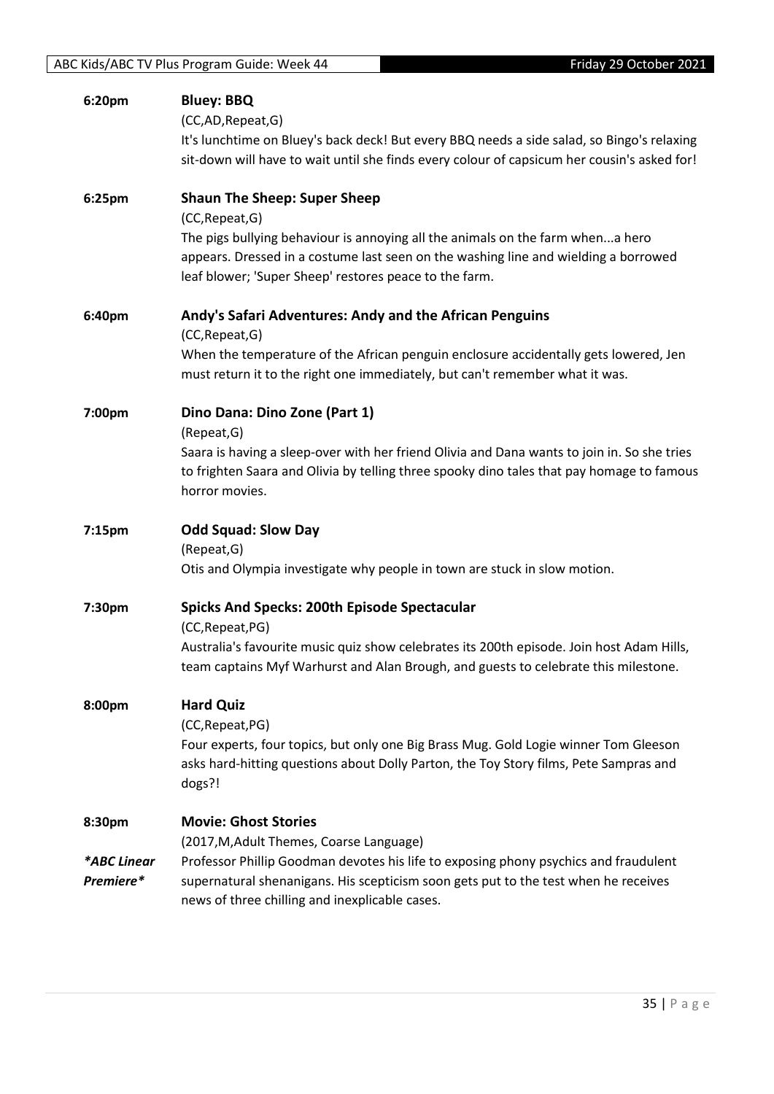| 6:20pm                             | <b>Bluey: BBQ</b><br>(CC,AD, Repeat, G)<br>It's lunchtime on Bluey's back deck! But every BBQ needs a side salad, so Bingo's relaxing<br>sit-down will have to wait until she finds every colour of capsicum her cousin's asked for!                                                                     |
|------------------------------------|----------------------------------------------------------------------------------------------------------------------------------------------------------------------------------------------------------------------------------------------------------------------------------------------------------|
| 6:25pm                             | <b>Shaun The Sheep: Super Sheep</b><br>(CC, Repeat, G)<br>The pigs bullying behaviour is annoying all the animals on the farm whena hero<br>appears. Dressed in a costume last seen on the washing line and wielding a borrowed<br>leaf blower; 'Super Sheep' restores peace to the farm.                |
| 6:40pm                             | Andy's Safari Adventures: Andy and the African Penguins<br>(CC, Repeat, G)<br>When the temperature of the African penguin enclosure accidentally gets lowered, Jen<br>must return it to the right one immediately, but can't remember what it was.                                                       |
| 7:00pm                             | Dino Dana: Dino Zone (Part 1)<br>(Repeat, G)<br>Saara is having a sleep-over with her friend Olivia and Dana wants to join in. So she tries<br>to frighten Saara and Olivia by telling three spooky dino tales that pay homage to famous<br>horror movies.                                               |
| 7:15pm                             | <b>Odd Squad: Slow Day</b><br>(Repeat, G)<br>Otis and Olympia investigate why people in town are stuck in slow motion.                                                                                                                                                                                   |
| 7:30pm                             | <b>Spicks And Specks: 200th Episode Spectacular</b><br>(CC, Repeat, PG)<br>Australia's favourite music quiz show celebrates its 200th episode. Join host Adam Hills,<br>team captains Myf Warhurst and Alan Brough, and guests to celebrate this milestone.                                              |
| 8:00pm                             | <b>Hard Quiz</b><br>(CC, Repeat, PG)<br>Four experts, four topics, but only one Big Brass Mug. Gold Logie winner Tom Gleeson<br>asks hard-hitting questions about Dolly Parton, the Toy Story films, Pete Sampras and<br>dogs?!                                                                          |
| 8:30pm<br>*ABC Linear<br>Premiere* | <b>Movie: Ghost Stories</b><br>(2017, M, Adult Themes, Coarse Language)<br>Professor Phillip Goodman devotes his life to exposing phony psychics and fraudulent<br>supernatural shenanigans. His scepticism soon gets put to the test when he receives<br>news of three chilling and inexplicable cases. |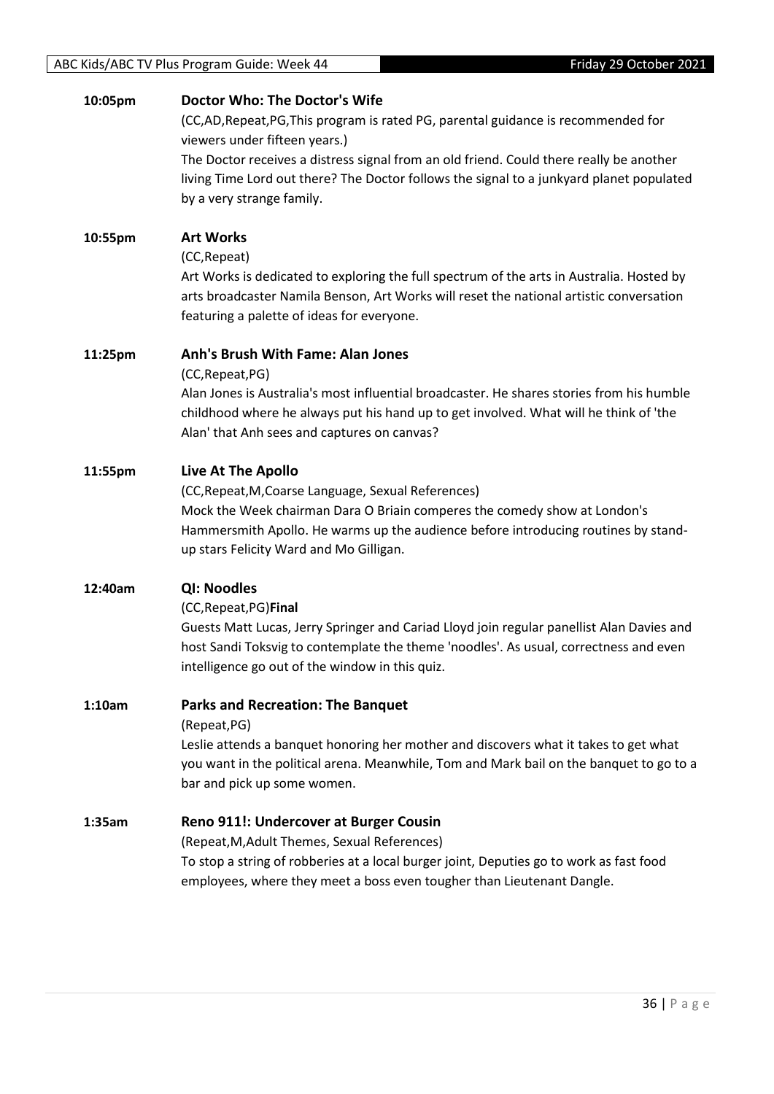#### ABC Kids/ABC TV Plus Program Guide: Week 44 Friday 29 October 2021

#### **10:05pm Doctor Who: The Doctor's Wife**

(CC,AD,Repeat,PG,This program is rated PG, parental guidance is recommended for viewers under fifteen years.)

The Doctor receives a distress signal from an old friend. Could there really be another living Time Lord out there? The Doctor follows the signal to a junkyard planet populated by a very strange family.

#### **10:55pm Art Works**

(CC,Repeat)

Art Works is dedicated to exploring the full spectrum of the arts in Australia. Hosted by arts broadcaster Namila Benson, Art Works will reset the national artistic conversation featuring a palette of ideas for everyone.

#### **11:25pm Anh's Brush With Fame: Alan Jones**

(CC,Repeat,PG)

Alan Jones is Australia's most influential broadcaster. He shares stories from his humble childhood where he always put his hand up to get involved. What will he think of 'the Alan' that Anh sees and captures on canvas?

#### **11:55pm Live At The Apollo**

(CC,Repeat,M,Coarse Language, Sexual References) Mock the Week chairman Dara O Briain comperes the comedy show at London's Hammersmith Apollo. He warms up the audience before introducing routines by standup stars Felicity Ward and Mo Gilligan.

#### **12:40am QI: Noodles**

#### (CC,Repeat,PG)**Final**

Guests Matt Lucas, Jerry Springer and Cariad Lloyd join regular panellist Alan Davies and host Sandi Toksvig to contemplate the theme 'noodles'. As usual, correctness and even intelligence go out of the window in this quiz.

#### **1:10am Parks and Recreation: The Banquet**

(Repeat,PG)

Leslie attends a banquet honoring her mother and discovers what it takes to get what you want in the political arena. Meanwhile, Tom and Mark bail on the banquet to go to a bar and pick up some women.

#### **1:35am Reno 911!: Undercover at Burger Cousin**

(Repeat,M,Adult Themes, Sexual References) To stop a string of robberies at a local burger joint, Deputies go to work as fast food employees, where they meet a boss even tougher than Lieutenant Dangle.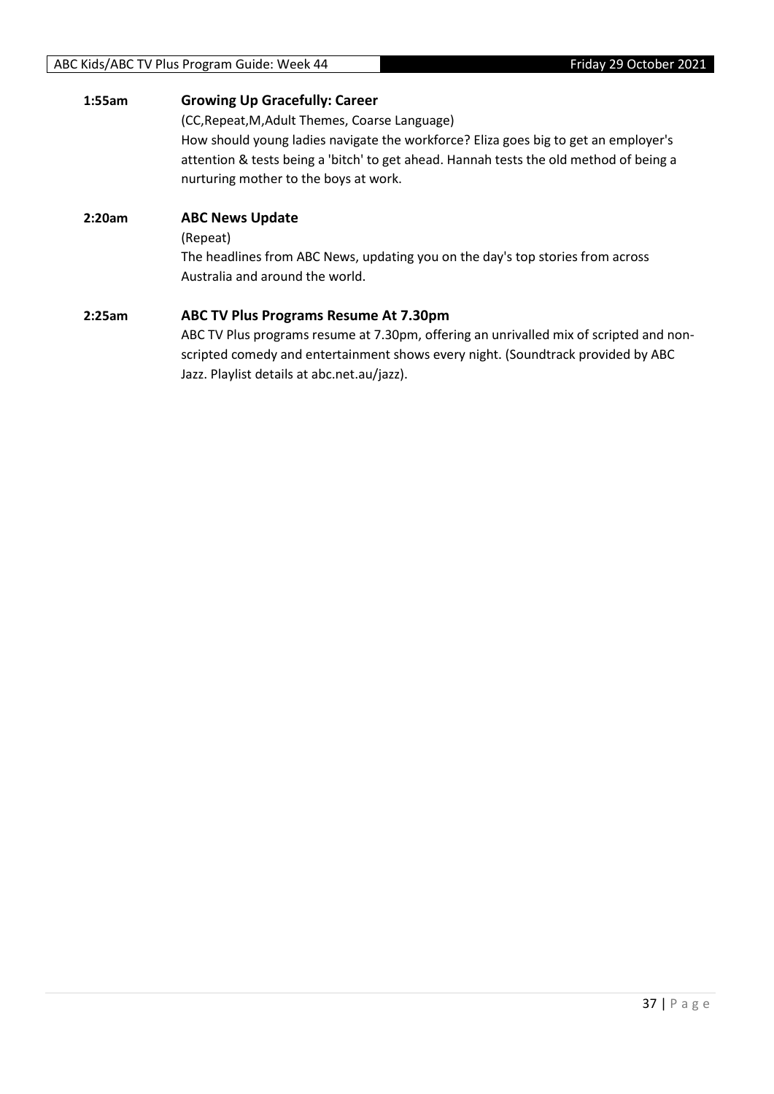#### **1:55am Growing Up Gracefully: Career**

(CC,Repeat,M,Adult Themes, Coarse Language) How should young ladies navigate the workforce? Eliza goes big to get an employer's attention & tests being a 'bitch' to get ahead. Hannah tests the old method of being a nurturing mother to the boys at work.

**2:20am ABC News Update** (Repeat) The headlines from ABC News, updating you on the day's top stories from across Australia and around the world.

#### **2:25am ABC TV Plus Programs Resume At 7.30pm**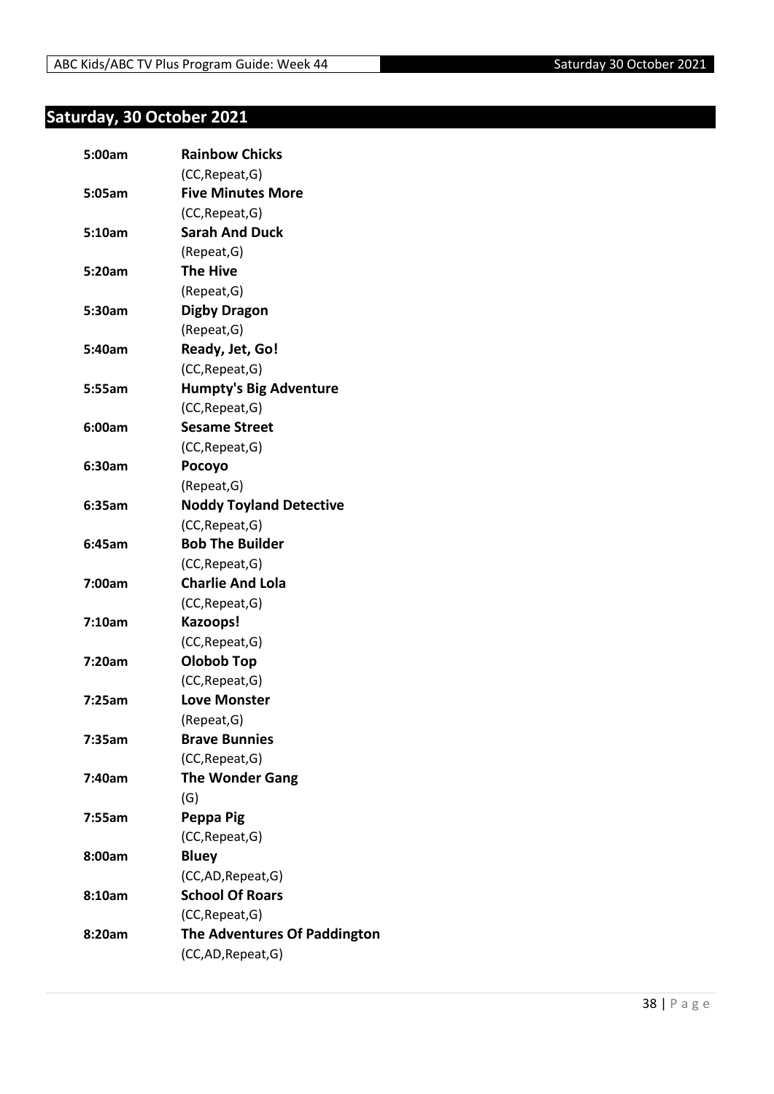## <span id="page-37-0"></span>**Saturday, 30 October 2021**

| 5:00am | <b>Rainbow Chicks</b>          |
|--------|--------------------------------|
|        | (CC, Repeat, G)                |
| 5:05am | <b>Five Minutes More</b>       |
|        | (CC, Repeat, G)                |
| 5:10am | <b>Sarah And Duck</b>          |
|        | (Repeat, G)                    |
| 5:20am | <b>The Hive</b>                |
|        | (Repeat, G)                    |
| 5:30am | <b>Digby Dragon</b>            |
|        | (Repeat, G)                    |
| 5:40am | Ready, Jet, Go!                |
|        | (CC, Repeat, G)                |
| 5:55am | <b>Humpty's Big Adventure</b>  |
|        | (CC, Repeat, G)                |
| 6:00am | <b>Sesame Street</b>           |
|        | (CC, Repeat, G)                |
| 6:30am | Pocoyo                         |
|        | (Repeat, G)                    |
| 6:35am | <b>Noddy Toyland Detective</b> |
|        | (CC, Repeat, G)                |
| 6:45am | <b>Bob The Builder</b>         |
|        | (CC, Repeat, G)                |
| 7:00am | <b>Charlie And Lola</b>        |
|        | (CC, Repeat, G)                |
| 7:10am | Kazoops!                       |
|        | (CC, Repeat, G)                |
| 7:20am | Olobob Top                     |
|        | (CC, Repeat, G)                |
| 7:25am | <b>Love Monster</b>            |
|        | (Repeat,G)                     |
| 7:35am | <b>Brave Bunnies</b>           |
|        | (CC, Repeat, G)                |
| 7:40am | <b>The Wonder Gang</b>         |
|        | (G)                            |
| 7:55am | Peppa Pig                      |
|        | (CC, Repeat, G)                |
| 8:00am | <b>Bluey</b>                   |
|        | (CC,AD, Repeat, G)             |
| 8:10am | <b>School Of Roars</b>         |
|        | (CC, Repeat, G)                |
| 8:20am | The Adventures Of Paddington   |
|        | (CC,AD, Repeat, G)             |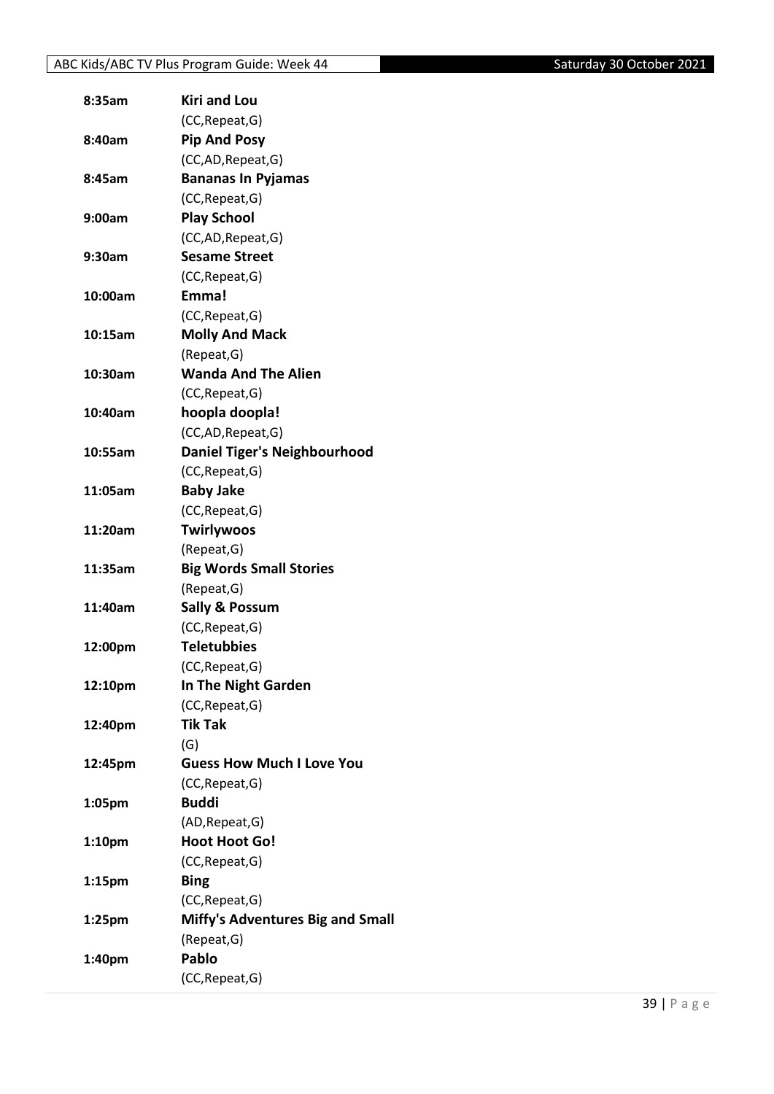| 8:35am             | <b>Kiri and Lou</b>                     |
|--------------------|-----------------------------------------|
|                    | (CC, Repeat, G)                         |
| 8:40am             | <b>Pip And Posy</b>                     |
|                    | (CC,AD, Repeat, G)                      |
| 8:45am             | <b>Bananas In Pyjamas</b>               |
|                    | (CC, Repeat, G)                         |
| 9:00am             | <b>Play School</b>                      |
|                    | (CC,AD, Repeat, G)                      |
| 9:30am             | <b>Sesame Street</b>                    |
|                    | (CC, Repeat, G)                         |
| 10:00am            | Emma!                                   |
|                    | (CC, Repeat, G)                         |
| 10:15am            | <b>Molly And Mack</b>                   |
|                    | (Repeat, G)                             |
| 10:30am            | <b>Wanda And The Alien</b>              |
|                    | (CC, Repeat, G)                         |
| 10:40am            | hoopla doopla!                          |
|                    | (CC,AD, Repeat, G)                      |
| 10:55am            | <b>Daniel Tiger's Neighbourhood</b>     |
|                    | (CC, Repeat, G)                         |
| 11:05am            | <b>Baby Jake</b>                        |
|                    | (CC, Repeat, G)                         |
| 11:20am            | <b>Twirlywoos</b>                       |
|                    | (Repeat, G)                             |
| 11:35am            | <b>Big Words Small Stories</b>          |
|                    | (Repeat, G)                             |
| 11:40am            | <b>Sally &amp; Possum</b>               |
|                    | (CC, Repeat, G)                         |
| 12:00pm            | <b>Teletubbies</b>                      |
|                    | (CC, Repeat, G)                         |
| 12:10pm            | In The Night Garden                     |
|                    | (CC, Repeat, G)                         |
| 12:40pm            | <b>Tik Tak</b>                          |
|                    | (G)                                     |
| 12:45pm            | <b>Guess How Much I Love You</b>        |
|                    | (CC, Repeat, G)                         |
| 1:05pm             | <b>Buddi</b>                            |
|                    | (AD, Repeat, G)                         |
| 1:10 <sub>pm</sub> | <b>Hoot Hoot Go!</b>                    |
|                    | (CC, Repeat, G)                         |
|                    | <b>Bing</b>                             |
| 1:15pm             |                                         |
|                    | (CC, Repeat, G)                         |
| 1:25 <sub>pm</sub> | <b>Miffy's Adventures Big and Small</b> |
|                    | (Repeat, G)                             |
| 1:40pm             | Pablo                                   |
|                    | (CC, Repeat, G)                         |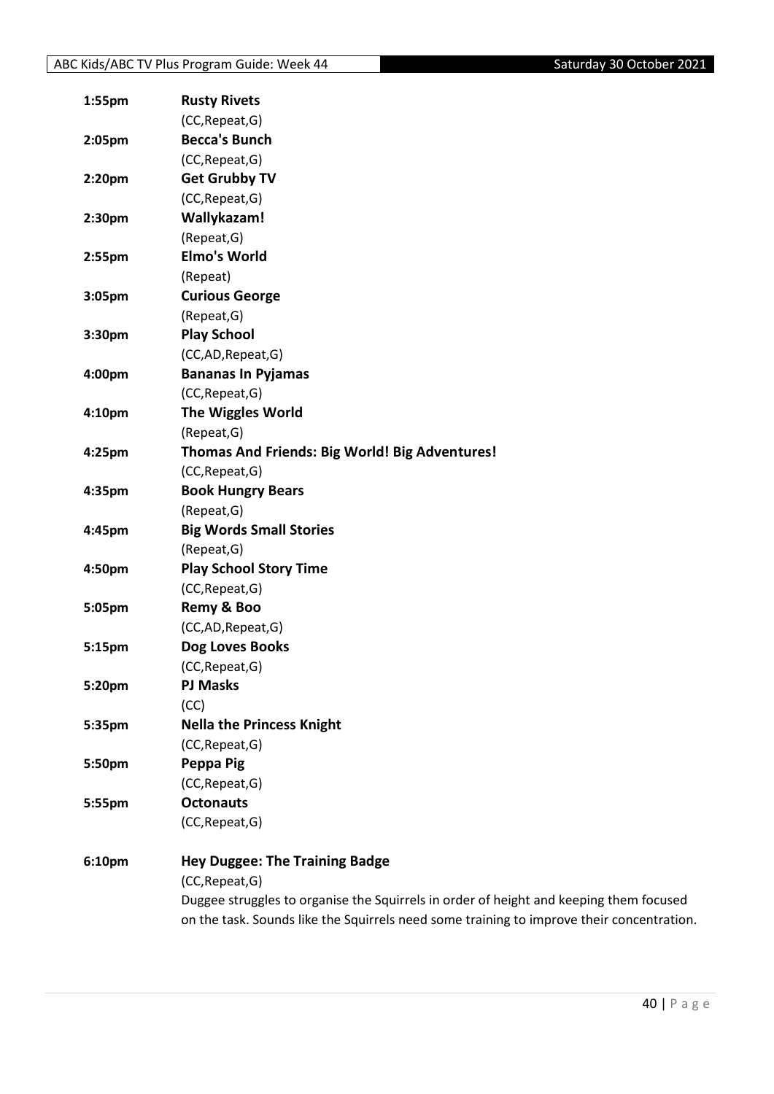| 1:55pm    | <b>Rusty Rivets</b>                                                                       |
|-----------|-------------------------------------------------------------------------------------------|
|           | (CC, Repeat, G)                                                                           |
| 2:05pm    | <b>Becca's Bunch</b>                                                                      |
|           | (CC, Repeat, G)                                                                           |
| 2:20pm    | <b>Get Grubby TV</b>                                                                      |
|           | (CC, Repeat, G)                                                                           |
| 2:30pm    | Wallykazam!                                                                               |
|           | (Repeat, G)                                                                               |
| $2:55$ pm | <b>Elmo's World</b>                                                                       |
|           | (Repeat)                                                                                  |
| 3:05pm    | <b>Curious George</b>                                                                     |
|           | (Repeat, G)                                                                               |
| 3:30pm    | <b>Play School</b>                                                                        |
|           | (CC,AD,Repeat,G)                                                                          |
| 4:00pm    | <b>Bananas In Pyjamas</b>                                                                 |
|           | (CC, Repeat, G)                                                                           |
| 4:10pm    | <b>The Wiggles World</b>                                                                  |
|           | (Repeat, G)                                                                               |
| 4:25pm    | Thomas And Friends: Big World! Big Adventures!                                            |
|           | (CC, Repeat, G)                                                                           |
| 4:35pm    | <b>Book Hungry Bears</b>                                                                  |
|           | (Repeat, G)                                                                               |
| 4:45pm    | <b>Big Words Small Stories</b>                                                            |
|           | (Repeat, G)                                                                               |
| 4:50pm    | <b>Play School Story Time</b>                                                             |
|           | (CC, Repeat, G)                                                                           |
| 5:05pm    | Remy & Boo                                                                                |
|           | (CC,AD,Repeat,G)                                                                          |
| 5:15pm    | Dog Loves Books                                                                           |
|           | (CC, Repeat, G)                                                                           |
| 5:20pm    | <b>PJ Masks</b>                                                                           |
|           | (CC)                                                                                      |
| 5:35pm    | <b>Nella the Princess Knight</b>                                                          |
|           | (CC, Repeat, G)                                                                           |
| 5:50pm    | Peppa Pig                                                                                 |
|           | (CC, Repeat, G)                                                                           |
| 5:55pm    | <b>Octonauts</b>                                                                          |
|           | (CC, Repeat, G)                                                                           |
| 6:10pm    | <b>Hey Duggee: The Training Badge</b>                                                     |
|           | (CC, Repeat, G)                                                                           |
|           | Duggee struggles to organise the Squirrels in order of height and keeping them focused    |
|           | on the task. Sounds like the Squirrels need some training to improve their concentration. |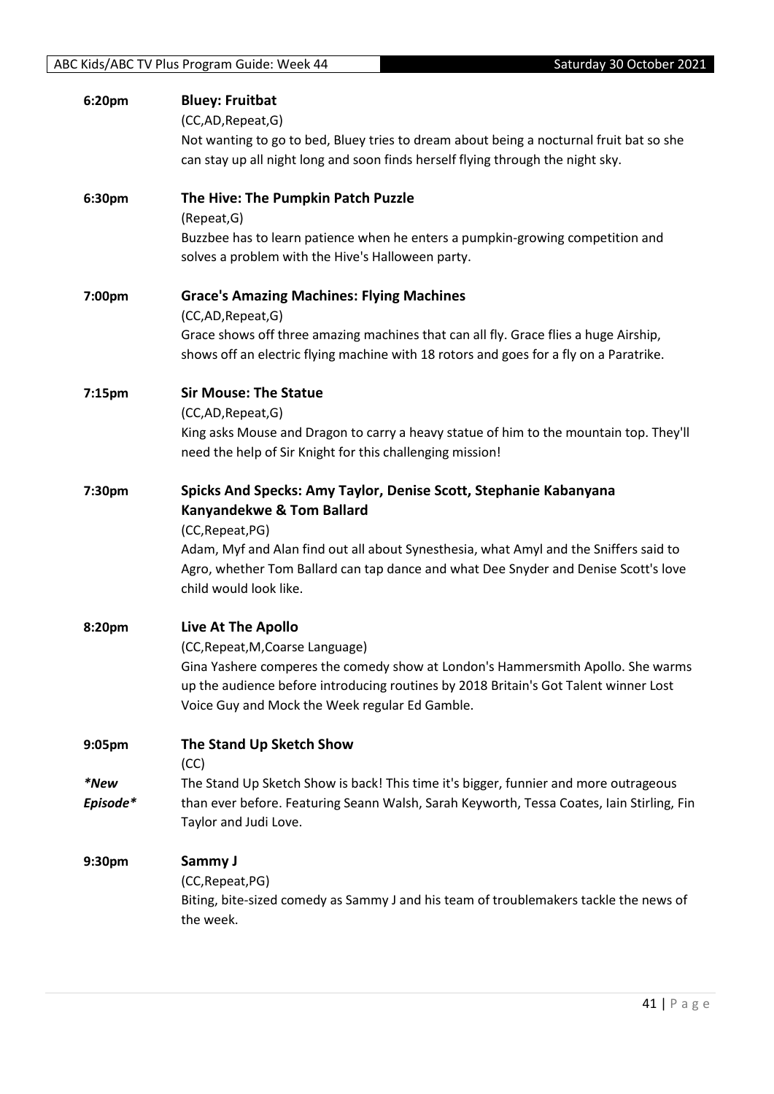| 6:20pm           | <b>Bluey: Fruitbat</b><br>(CC,AD,Repeat,G)<br>Not wanting to go to bed, Bluey tries to dream about being a nocturnal fruit bat so she<br>can stay up all night long and soon finds herself flying through the night sky.                                                                                                               |
|------------------|----------------------------------------------------------------------------------------------------------------------------------------------------------------------------------------------------------------------------------------------------------------------------------------------------------------------------------------|
| 6:30pm           | The Hive: The Pumpkin Patch Puzzle<br>(Repeat, G)<br>Buzzbee has to learn patience when he enters a pumpkin-growing competition and<br>solves a problem with the Hive's Halloween party.                                                                                                                                               |
| 7:00pm           | <b>Grace's Amazing Machines: Flying Machines</b><br>(CC,AD,Repeat,G)<br>Grace shows off three amazing machines that can all fly. Grace flies a huge Airship,<br>shows off an electric flying machine with 18 rotors and goes for a fly on a Paratrike.                                                                                 |
| 7:15pm           | <b>Sir Mouse: The Statue</b><br>(CC,AD,Repeat,G)<br>King asks Mouse and Dragon to carry a heavy statue of him to the mountain top. They'll<br>need the help of Sir Knight for this challenging mission!                                                                                                                                |
| 7:30pm           | Spicks And Specks: Amy Taylor, Denise Scott, Stephanie Kabanyana<br><b>Kanyandekwe &amp; Tom Ballard</b><br>(CC, Repeat, PG)<br>Adam, Myf and Alan find out all about Synesthesia, what Amyl and the Sniffers said to<br>Agro, whether Tom Ballard can tap dance and what Dee Snyder and Denise Scott's love<br>child would look like. |
| 8:20pm           | <b>Live At The Apollo</b><br>(CC, Repeat, M, Coarse Language)<br>Gina Yashere comperes the comedy show at London's Hammersmith Apollo. She warms<br>up the audience before introducing routines by 2018 Britain's Got Talent winner Lost<br>Voice Guy and Mock the Week regular Ed Gamble.                                             |
| 9:05pm           | The Stand Up Sketch Show<br>(CC)                                                                                                                                                                                                                                                                                                       |
| *New<br>Episode* | The Stand Up Sketch Show is back! This time it's bigger, funnier and more outrageous<br>than ever before. Featuring Seann Walsh, Sarah Keyworth, Tessa Coates, Iain Stirling, Fin<br>Taylor and Judi Love.                                                                                                                             |
| 9:30pm           | Sammy J<br>(CC, Repeat, PG)<br>Biting, bite-sized comedy as Sammy J and his team of troublemakers tackle the news of<br>the week.                                                                                                                                                                                                      |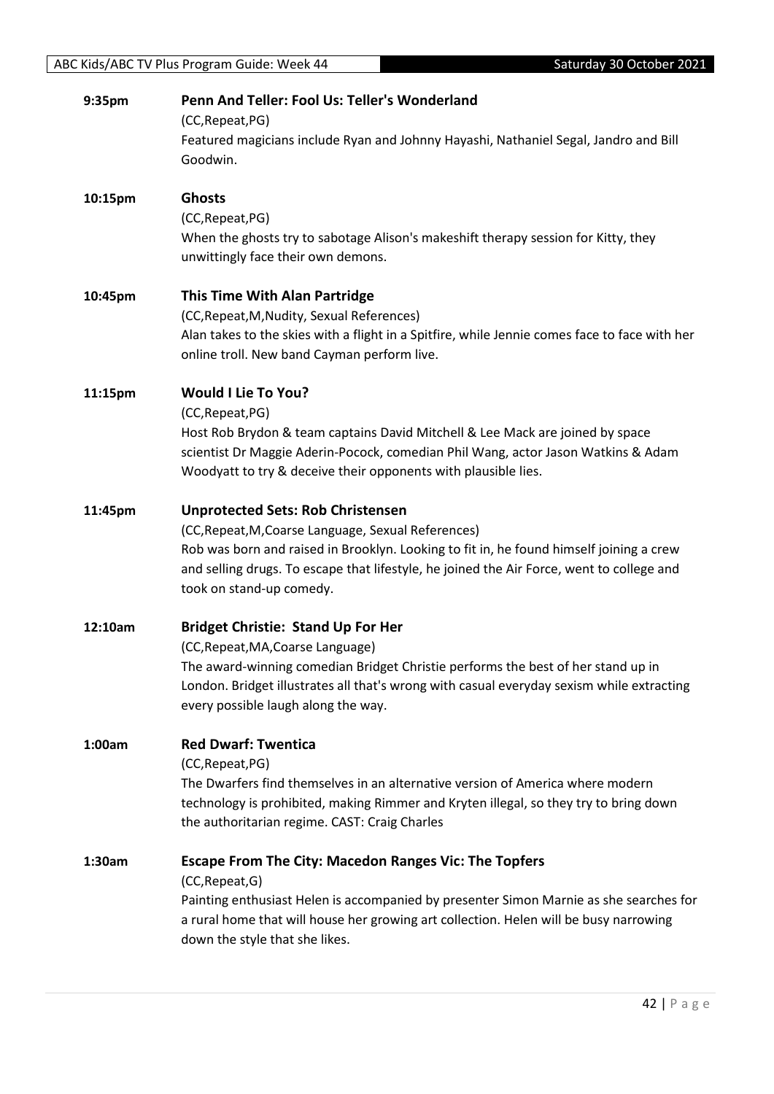| 9:35pm  | Penn And Teller: Fool Us: Teller's Wonderland                                                    |
|---------|--------------------------------------------------------------------------------------------------|
|         | (CC, Repeat, PG)                                                                                 |
|         | Featured magicians include Ryan and Johnny Hayashi, Nathaniel Segal, Jandro and Bill<br>Goodwin. |
|         |                                                                                                  |
| 10:15pm | <b>Ghosts</b>                                                                                    |
|         | (CC, Repeat, PG)                                                                                 |
|         | When the ghosts try to sabotage Alison's makeshift therapy session for Kitty, they               |
|         | unwittingly face their own demons.                                                               |
| 10:45pm | <b>This Time With Alan Partridge</b>                                                             |
|         | (CC, Repeat, M, Nudity, Sexual References)                                                       |
|         | Alan takes to the skies with a flight in a Spitfire, while Jennie comes face to face with her    |
|         | online troll. New band Cayman perform live.                                                      |
| 11:15pm | <b>Would I Lie To You?</b>                                                                       |
|         | (CC, Repeat, PG)                                                                                 |
|         | Host Rob Brydon & team captains David Mitchell & Lee Mack are joined by space                    |
|         | scientist Dr Maggie Aderin-Pocock, comedian Phil Wang, actor Jason Watkins & Adam                |
|         | Woodyatt to try & deceive their opponents with plausible lies.                                   |
| 11:45pm | <b>Unprotected Sets: Rob Christensen</b>                                                         |
|         | (CC, Repeat, M, Coarse Language, Sexual References)                                              |
|         | Rob was born and raised in Brooklyn. Looking to fit in, he found himself joining a crew          |
|         | and selling drugs. To escape that lifestyle, he joined the Air Force, went to college and        |
|         | took on stand-up comedy.                                                                         |
| 12:10am | <b>Bridget Christie: Stand Up For Her</b>                                                        |
|         | (CC, Repeat, MA, Coarse Language)                                                                |
|         | The award-winning comedian Bridget Christie performs the best of her stand up in                 |
|         | London. Bridget illustrates all that's wrong with casual everyday sexism while extracting        |
|         | every possible laugh along the way.                                                              |
| 1:00am  | <b>Red Dwarf: Twentica</b>                                                                       |
|         | (CC, Repeat, PG)                                                                                 |
|         | The Dwarfers find themselves in an alternative version of America where modern                   |
|         | technology is prohibited, making Rimmer and Kryten illegal, so they try to bring down            |
|         | the authoritarian regime. CAST: Craig Charles                                                    |
| 1:30am  | <b>Escape From The City: Macedon Ranges Vic: The Topfers</b>                                     |
|         | (CC, Repeat, G)                                                                                  |
|         | Painting enthusiast Helen is accompanied by presenter Simon Marnie as she searches for           |
|         | a rural home that will house her growing art collection. Helen will be busy narrowing            |
|         | down the style that she likes.                                                                   |
|         |                                                                                                  |